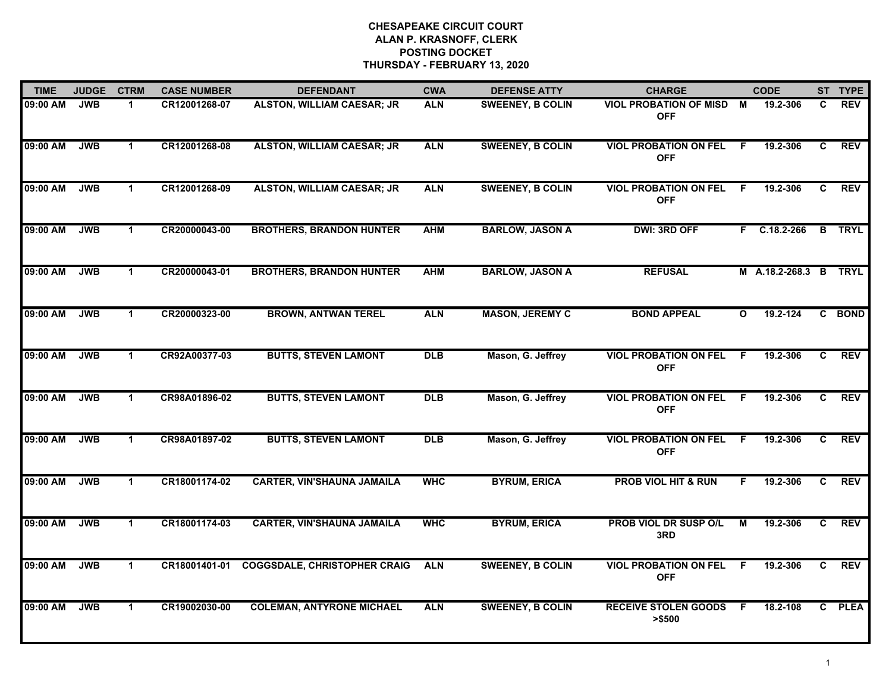| <b>TIME</b> | <b>JUDGE</b> | <b>CTRM</b>          | <b>CASE NUMBER</b> | <b>DEFENDANT</b>                    | <b>CWA</b> | <b>DEFENSE ATTY</b>     | <b>CHARGE</b>                                |              | <b>CODE</b>           |    | ST TYPE       |
|-------------|--------------|----------------------|--------------------|-------------------------------------|------------|-------------------------|----------------------------------------------|--------------|-----------------------|----|---------------|
| 09:00 AM    | <b>JWB</b>   | $\mathbf 1$          | CR12001268-07      | <b>ALSTON, WILLIAM CAESAR; JR</b>   | <b>ALN</b> | <b>SWEENEY, B COLIN</b> | VIOL PROBATION OF MISD M<br><b>OFF</b>       |              | 19.2-306              | C. | <b>REV</b>    |
| 09:00 AM    | <b>JWB</b>   | $\mathbf 1$          | CR12001268-08      | <b>ALSTON, WILLIAM CAESAR; JR</b>   | <b>ALN</b> | <b>SWEENEY, B COLIN</b> | <b>VIOL PROBATION ON FEL</b><br><b>OFF</b>   | -F           | 19.2-306              | C  | <b>REV</b>    |
| 09:00 AM    | <b>JWB</b>   | $\mathbf 1$          | CR12001268-09      | <b>ALSTON, WILLIAM CAESAR; JR</b>   | <b>ALN</b> | <b>SWEENEY, B COLIN</b> | <b>VIOL PROBATION ON FEL</b><br><b>OFF</b>   | E            | 19.2-306              | C  | <b>REV</b>    |
| 09:00 AM    | <b>JWB</b>   | $\mathbf 1$          | CR20000043-00      | <b>BROTHERS, BRANDON HUNTER</b>     | <b>AHM</b> | <b>BARLOW, JASON A</b>  | <b>DWI: 3RD OFF</b>                          |              | F C.18.2-266          |    | <b>B</b> TRYL |
| 09:00 AM    | <b>JWB</b>   | $\mathbf{1}$         | CR20000043-01      | <b>BROTHERS, BRANDON HUNTER</b>     | <b>AHM</b> | <b>BARLOW, JASON A</b>  | <b>REFUSAL</b>                               |              | M A.18.2-268.3 B TRYL |    |               |
| 09:00 AM    | <b>JWB</b>   | $\mathbf{1}$         | CR20000323-00      | <b>BROWN, ANTWAN TEREL</b>          | <b>ALN</b> | <b>MASON, JEREMY C</b>  | <b>BOND APPEAL</b>                           | $\mathbf{o}$ | 19.2-124              |    | C BOND        |
| 09:00 AM    | <b>JWB</b>   | $\blacktriangleleft$ | CR92A00377-03      | <b>BUTTS, STEVEN LAMONT</b>         | <b>DLB</b> | Mason, G. Jeffrey       | <b>VIOL PROBATION ON FEL F</b><br><b>OFF</b> |              | 19.2-306              | C  | <b>REV</b>    |
| 09:00 AM    | <b>JWB</b>   | $\mathbf{1}$         | CR98A01896-02      | <b>BUTTS, STEVEN LAMONT</b>         | <b>DLB</b> | Mason, G. Jeffrey       | <b>VIOL PROBATION ON FEL</b><br><b>OFF</b>   | - F          | 19.2-306              | C  | <b>REV</b>    |
| 09:00 AM    | <b>JWB</b>   | -1                   | CR98A01897-02      | <b>BUTTS, STEVEN LAMONT</b>         | <b>DLB</b> | Mason, G. Jeffrey       | <b>VIOL PROBATION ON FEL</b><br><b>OFF</b>   | -F           | 19.2-306              | C  | <b>REV</b>    |
| 09:00 AM    | <b>JWB</b>   | $\mathbf 1$          | CR18001174-02      | <b>CARTER, VIN'SHAUNA JAMAILA</b>   | <b>WHC</b> | <b>BYRUM, ERICA</b>     | <b>PROB VIOL HIT &amp; RUN</b>               | F.           | 19.2-306              | C. | <b>REV</b>    |
| 09:00 AM    | <b>JWB</b>   | $\mathbf 1$          | CR18001174-03      | <b>CARTER, VIN'SHAUNA JAMAILA</b>   | <b>WHC</b> | <b>BYRUM, ERICA</b>     | PROB VIOL DR SUSP O/L<br>3RD                 | м            | 19.2-306              | C. | <b>REV</b>    |
| 09:00 AM    | <b>JWB</b>   | $\mathbf{1}$         | CR18001401-01      | <b>COGGSDALE, CHRISTOPHER CRAIG</b> | <b>ALN</b> | <b>SWEENEY, B COLIN</b> | <b>VIOL PROBATION ON FEL</b><br><b>OFF</b>   | F.           | 19.2-306              | C. | <b>REV</b>    |
| 09:00 AM    | <b>JWB</b>   | $\mathbf 1$          | CR19002030-00      | <b>COLEMAN, ANTYRONE MICHAEL</b>    | <b>ALN</b> | <b>SWEENEY, B COLIN</b> | <b>RECEIVE STOLEN GOODS F</b><br>> \$500     |              | 18.2-108              |    | C PLEA        |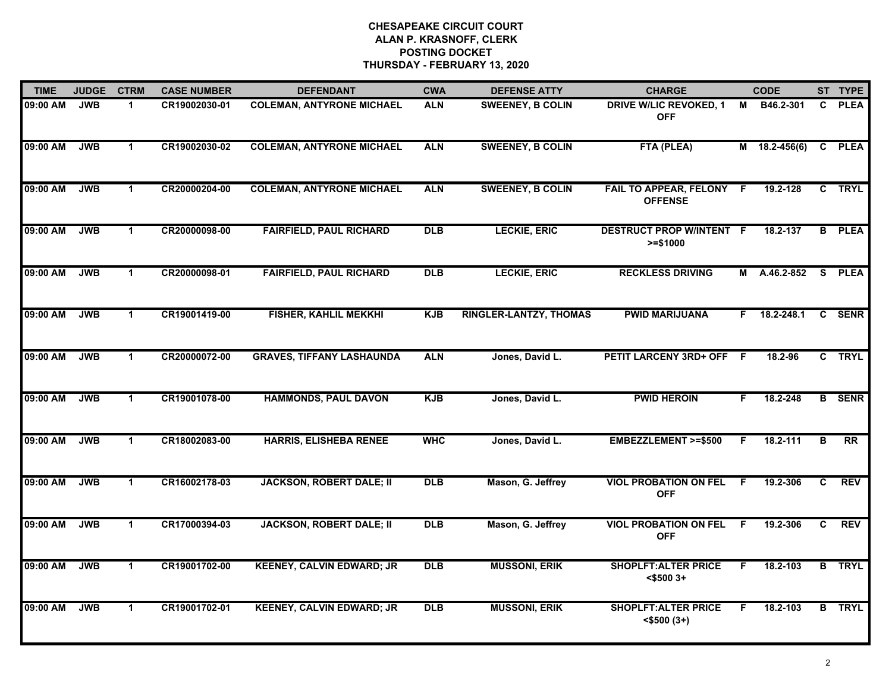| <b>TIME</b> | <b>JUDGE</b> | <b>CTRM</b>          | <b>CASE NUMBER</b> | <b>DEFENDANT</b>                 | <b>CWA</b> | <b>DEFENSE ATTY</b>           | <b>CHARGE</b>                                   |     | <b>CODE</b>   |    | ST TYPE       |
|-------------|--------------|----------------------|--------------------|----------------------------------|------------|-------------------------------|-------------------------------------------------|-----|---------------|----|---------------|
| 09:00 AM    | <b>JWB</b>   | $\blacktriangleleft$ | CR19002030-01      | <b>COLEMAN, ANTYRONE MICHAEL</b> | <b>ALN</b> | <b>SWEENEY, B COLIN</b>       | <b>DRIVE W/LIC REVOKED, 1</b><br><b>OFF</b>     | М   | B46.2-301     | C. | <b>PLEA</b>   |
| 09:00 AM    | <b>JWB</b>   | $\mathbf{1}$         | CR19002030-02      | <b>COLEMAN, ANTYRONE MICHAEL</b> | <b>ALN</b> | <b>SWEENEY, B COLIN</b>       | FTA (PLEA)                                      |     | M 18.2-456(6) |    | C PLEA        |
| 09:00 AM    | <b>JWB</b>   | $\blacktriangleleft$ | CR20000204-00      | <b>COLEMAN, ANTYRONE MICHAEL</b> | <b>ALN</b> | <b>SWEENEY, B COLIN</b>       | FAIL TO APPEAR, FELONY F<br><b>OFFENSE</b>      |     | 19.2-128      |    | C TRYL        |
| 09:00 AM    | <b>JWB</b>   | $\mathbf 1$          | CR20000098-00      | <b>FAIRFIELD, PAUL RICHARD</b>   | <b>DLB</b> | <b>LECKIE, ERIC</b>           | <b>DESTRUCT PROP W/INTENT F</b><br>$>= $1000$   |     | 18.2-137      |    | <b>B</b> PLEA |
| 09:00 AM    | <b>JWB</b>   | $\mathbf 1$          | CR20000098-01      | <b>FAIRFIELD, PAUL RICHARD</b>   | <b>DLB</b> | <b>LECKIE, ERIC</b>           | <b>RECKLESS DRIVING</b>                         | М   | A.46.2-852    | S. | <b>PLEA</b>   |
| 09:00 AM    | <b>JWB</b>   | $\mathbf{1}$         | CR19001419-00      | <b>FISHER, KAHLIL MEKKHI</b>     | <b>KJB</b> | <b>RINGLER-LANTZY, THOMAS</b> | <b>PWID MARIJUANA</b>                           |     | F 18.2-248.1  |    | C SENR        |
| 09:00 AM    | <b>JWB</b>   | $\blacktriangleleft$ | CR20000072-00      | <b>GRAVES, TIFFANY LASHAUNDA</b> | <b>ALN</b> | Jones, David L.               | PETIT LARCENY 3RD+ OFF F                        |     | 18.2-96       |    | C TRYL        |
| 09:00 AM    | <b>JWB</b>   | $\mathbf 1$          | CR19001078-00      | <b>HAMMONDS, PAUL DAVON</b>      | <b>KJB</b> | Jones, David L.               | <b>PWID HEROIN</b>                              | F   | 18.2-248      |    | <b>B</b> SENR |
| 09:00 AM    | <b>JWB</b>   | $\blacktriangleleft$ | CR18002083-00      | <b>HARRIS, ELISHEBA RENEE</b>    | <b>WHC</b> | Jones, David L.               | <b>EMBEZZLEMENT &gt;=\$500</b>                  | F   | 18.2-111      | B  | <b>RR</b>     |
| 09:00 AM    | <b>JWB</b>   | $\blacktriangleleft$ | CR16002178-03      | <b>JACKSON, ROBERT DALE; II</b>  | <b>DLB</b> | Mason, G. Jeffrey             | <b>VIOL PROBATION ON FEL</b><br><b>OFF</b>      | F   | 19.2-306      | C  | <b>REV</b>    |
| 09:00 AM    | <b>JWB</b>   | $\blacktriangleleft$ | CR17000394-03      | <b>JACKSON, ROBERT DALE; II</b>  | <b>DLB</b> | Mason, G. Jeffrey             | <b>VIOL PROBATION ON FEL</b><br><b>OFF</b>      | - F | 19.2-306      | C. | <b>REV</b>    |
| 09:00 AM    | <b>JWB</b>   | $\blacktriangleleft$ | CR19001702-00      | <b>KEENEY, CALVIN EDWARD; JR</b> | <b>DLB</b> | <b>MUSSONI, ERIK</b>          | <b>SHOPLFT: ALTER PRICE</b><br>$<$ \$500 3+     | F.  | 18.2-103      |    | <b>B</b> TRYL |
| 09:00 AM    | <b>JWB</b>   | $\mathbf{1}$         | CR19001702-01      | <b>KEENEY, CALVIN EDWARD; JR</b> | <b>DLB</b> | <b>MUSSONI, ERIK</b>          | <b>SHOPLFT: ALTER PRICE</b><br>$<$ \$500 $(3+)$ | F.  | 18.2-103      |    | <b>B</b> TRYL |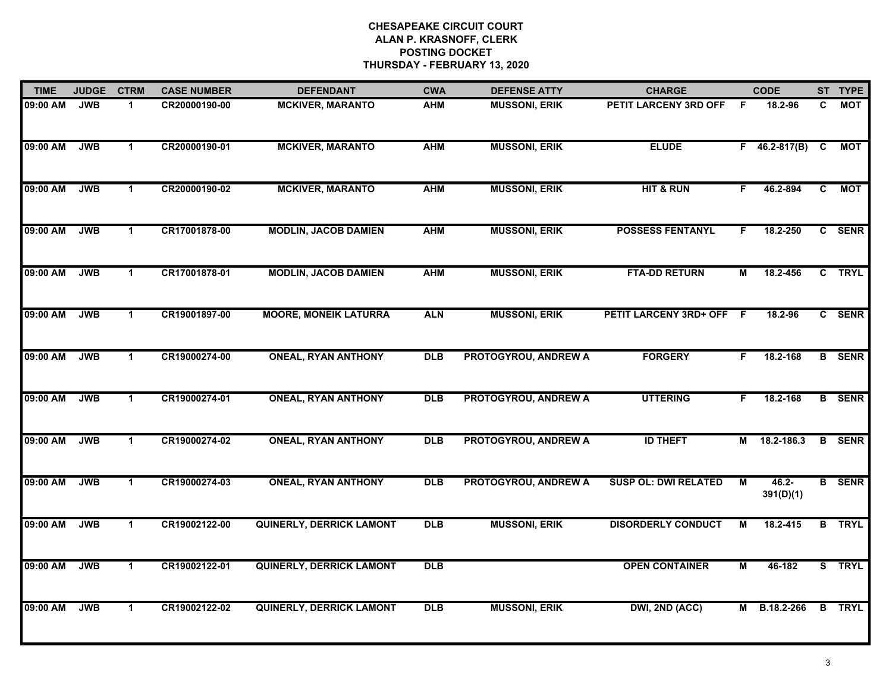| <b>TIME</b> | <b>JUDGE</b> | <b>CTRM</b>          | <b>CASE NUMBER</b> | <b>DEFENDANT</b>                | <b>CWA</b>     | <b>DEFENSE ATTY</b>         | <b>CHARGE</b>               |    | <b>CODE</b>           |                | ST TYPE       |
|-------------|--------------|----------------------|--------------------|---------------------------------|----------------|-----------------------------|-----------------------------|----|-----------------------|----------------|---------------|
| 09:00 AM    | <b>JWB</b>   | $\blacktriangleleft$ | CR20000190-00      | <b>MCKIVER, MARANTO</b>         | <b>AHM</b>     | <b>MUSSONI, ERIK</b>        | PETIT LARCENY 3RD OFF       | -F | 18.2-96               | C.             | MOT           |
| 09:00 AM    | <b>JWB</b>   | $\mathbf 1$          | CR20000190-01      | <b>MCKIVER, MARANTO</b>         | <b>AHM</b>     | <b>MUSSONI, ERIK</b>        | <b>ELUDE</b>                |    | $F$ 46.2-817(B) C     |                | МОТ           |
| 09:00 AM    | <b>JWB</b>   | $\mathbf{1}$         | CR20000190-02      | <b>MCKIVER, MARANTO</b>         | <b>AHM</b>     | <b>MUSSONI, ERIK</b>        | <b>HIT &amp; RUN</b>        | F. | 46.2-894              | $\overline{c}$ | <b>MOT</b>    |
| 09:00 AM    | <b>JWB</b>   | $\mathbf 1$          | CR17001878-00      | <b>MODLIN, JACOB DAMIEN</b>     | <b>AHM</b>     | <b>MUSSONI, ERIK</b>        | <b>POSSESS FENTANYL</b>     | F. | 18.2-250              |                | C SENR        |
| 09:00 AM    | <b>JWB</b>   | $\mathbf{1}$         | CR17001878-01      | <b>MODLIN, JACOB DAMIEN</b>     | <b>AHM</b>     | <b>MUSSONI, ERIK</b>        | <b>FTA-DD RETURN</b>        | M  | 18.2-456              |                | C TRYL        |
| 09:00 AM    | <b>JWB</b>   | $\blacktriangleleft$ | CR19001897-00      | <b>MOORE, MONEIK LATURRA</b>    | <b>ALN</b>     | <b>MUSSONI, ERIK</b>        | PETIT LARCENY 3RD+ OFF F    |    | 18.2-96               |                | C SENR        |
| 09:00 AM    | <b>JWB</b>   | $\mathbf{1}$         | CR19000274-00      | <b>ONEAL, RYAN ANTHONY</b>      | <b>DLB</b>     | PROTOGYROU, ANDREW A        | <b>FORGERY</b>              | F. | 18.2-168              |                | <b>B</b> SENR |
| 09:00 AM    | <b>JWB</b>   | $\mathbf{1}$         | CR19000274-01      | <b>ONEAL, RYAN ANTHONY</b>      | $\overline{D}$ | <b>PROTOGYROU, ANDREW A</b> | <b>UTTERING</b>             | F. | 18.2-168              |                | <b>B</b> SENR |
| 09:00 AM    | <b>JWB</b>   | $\blacktriangleleft$ | CR19000274-02      | <b>ONEAL, RYAN ANTHONY</b>      | <b>DLB</b>     | PROTOGYROU, ANDREW A        | <b>ID THEFT</b>             | Μ  | 18.2-186.3            |                | <b>B</b> SENR |
| 09:00 AM    | <b>JWB</b>   | $\mathbf{1}$         | CR19000274-03      | <b>ONEAL, RYAN ANTHONY</b>      | <b>DLB</b>     | PROTOGYROU, ANDREW A        | <b>SUSP OL: DWI RELATED</b> | M  | $46.2 -$<br>391(D)(1) |                | <b>B</b> SENR |
| 09:00 AM    | <b>JWB</b>   | $\mathbf 1$          | CR19002122-00      | <b>QUINERLY, DERRICK LAMONT</b> | <b>DLB</b>     | <b>MUSSONI, ERIK</b>        | <b>DISORDERLY CONDUCT</b>   | м  | 18.2-415              |                | <b>B</b> TRYL |
| 09:00 AM    | <b>JWB</b>   | $\mathbf{1}$         | CR19002122-01      | <b>QUINERLY, DERRICK LAMONT</b> | <b>DLB</b>     |                             | <b>OPEN CONTAINER</b>       | М  | 46-182                |                | S TRYL        |
| 09:00 AM    | <b>JWB</b>   | $\mathbf 1$          | CR19002122-02      | <b>QUINERLY, DERRICK LAMONT</b> | $\overline{D}$ | <b>MUSSONI, ERIK</b>        | DWI, 2ND (ACC)              | М  | B.18.2-266            |                | <b>B</b> TRYL |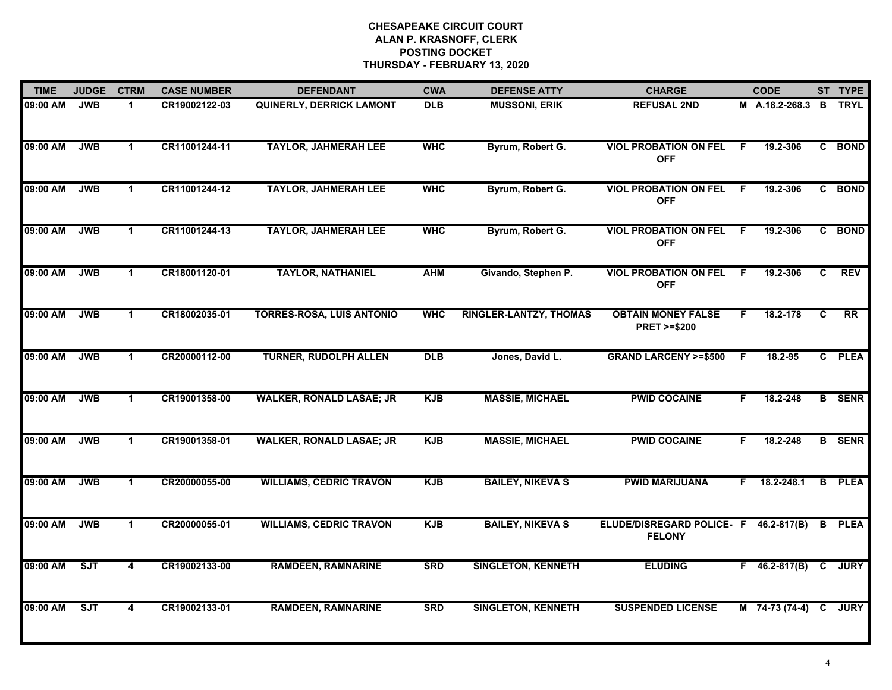| <b>TIME</b> | <b>JUDGE</b> | <b>CTRM</b>             | <b>CASE NUMBER</b> | <b>DEFENDANT</b>                 | <b>CWA</b> | <b>DEFENSE ATTY</b>           | <b>CHARGE</b>                                          |     | <b>CODE</b>           |              | ST TYPE       |
|-------------|--------------|-------------------------|--------------------|----------------------------------|------------|-------------------------------|--------------------------------------------------------|-----|-----------------------|--------------|---------------|
| 09:00 AM    | <b>JWB</b>   | $\mathbf 1$             | CR19002122-03      | <b>QUINERLY, DERRICK LAMONT</b>  | <b>DLB</b> | <b>MUSSONI, ERIK</b>          | <b>REFUSAL 2ND</b>                                     |     | M A.18.2-268.3 B TRYL |              |               |
| 09:00 AM    | <b>JWB</b>   | $\mathbf{1}$            | CR11001244-11      | <b>TAYLOR, JAHMERAH LEE</b>      | <b>WHC</b> | Byrum, Robert G.              | <b>VIOL PROBATION ON FEL</b><br><b>OFF</b>             | F.  | 19.2-306              | C            | <b>BOND</b>   |
| 09:00 AM    | <b>JWB</b>   | $\mathbf 1$             | CR11001244-12      | <b>TAYLOR, JAHMERAH LEE</b>      | <b>WHC</b> | Byrum, Robert G.              | <b>VIOL PROBATION ON FEL</b><br><b>OFF</b>             | F.  | 19.2-306              |              | C BOND        |
| 09:00 AM    | <b>JWB</b>   | $\blacktriangleleft$    | CR11001244-13      | <b>TAYLOR, JAHMERAH LEE</b>      | <b>WHC</b> | Byrum, Robert G.              | <b>VIOL PROBATION ON FEL</b><br><b>OFF</b>             | F.  | 19.2-306              | $\mathbf{c}$ | <b>BOND</b>   |
| 09:00 AM    | <b>JWB</b>   | $\mathbf 1$             | CR18001120-01      | <b>TAYLOR, NATHANIEL</b>         | <b>AHM</b> | Givando, Stephen P.           | <b>VIOL PROBATION ON FEL</b><br><b>OFF</b>             | F.  | 19.2-306              | C            | <b>REV</b>    |
| 09:00 AM    | <b>JWB</b>   | $\blacktriangleleft$    | CR18002035-01      | <b>TORRES-ROSA, LUIS ANTONIO</b> | <b>WHC</b> | <b>RINGLER-LANTZY, THOMAS</b> | <b>OBTAIN MONEY FALSE</b><br><b>PRET &gt;=\$200</b>    | F.  | 18.2-178              | C            | RR            |
| 09:00 AM    | <b>JWB</b>   | $\mathbf{1}$            | CR20000112-00      | <b>TURNER, RUDOLPH ALLEN</b>     | <b>DLB</b> | Jones, David L.               | <b>GRAND LARCENY &gt;=\$500</b>                        | - F | 18.2-95               |              | C PLEA        |
| 09:00 AM    | <b>JWB</b>   | $\mathbf 1$             | CR19001358-00      | <b>WALKER, RONALD LASAE; JR</b>  | <b>KJB</b> | <b>MASSIE, MICHAEL</b>        | <b>PWID COCAINE</b>                                    | F   | 18.2-248              |              | <b>B</b> SENR |
| 09:00 AM    | <b>JWB</b>   | $\mathbf 1$             | CR19001358-01      | <b>WALKER, RONALD LASAE; JR</b>  | <b>KJB</b> | <b>MASSIE, MICHAEL</b>        | <b>PWID COCAINE</b>                                    | F.  | 18.2-248              |              | <b>B</b> SENR |
| 09:00 AM    | <b>JWB</b>   | $\blacktriangleleft$    | CR20000055-00      | <b>WILLIAMS, CEDRIC TRAVON</b>   | <b>KJB</b> | <b>BAILEY, NIKEVA S</b>       | <b>PWID MARIJUANA</b>                                  | F.  | 18.2-248.1            | В            | <b>PLEA</b>   |
| 09:00 AM    | <b>JWB</b>   | $\mathbf 1$             | CR20000055-01      | <b>WILLIAMS, CEDRIC TRAVON</b>   | <b>KJB</b> | <b>BAILEY, NIKEVA S</b>       | ELUDE/DISREGARD POLICE- F 46.2-817(B)<br><b>FELONY</b> |     |                       | B            | <b>PLEA</b>   |
| 09:00 AM    | ST           | $\overline{\mathbf{4}}$ | CR19002133-00      | <b>RAMDEEN, RAMNARINE</b>        | <b>SRD</b> | <b>SINGLETON, KENNETH</b>     | <b>ELUDING</b>                                         |     | $F$ 46.2-817(B) C     |              | <b>JURY</b>   |
| 09:00 AM    | SJT          | 4                       | CR19002133-01      | <b>RAMDEEN, RAMNARINE</b>        | <b>SRD</b> | <b>SINGLETON, KENNETH</b>     | <b>SUSPENDED LICENSE</b>                               |     | M 74-73 (74-4)        | C            | <b>JURY</b>   |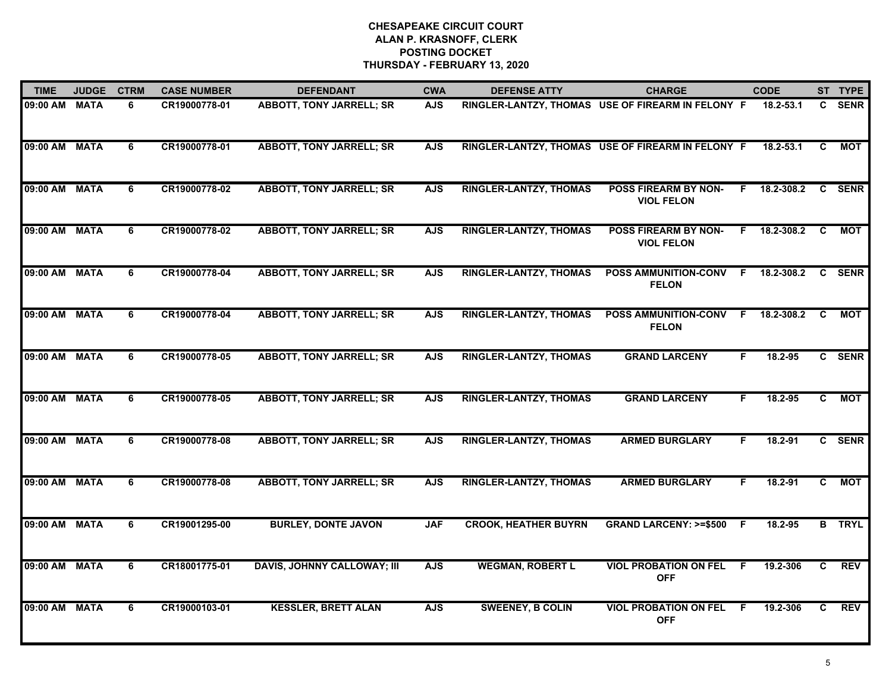| <b>TIME</b>   | <b>JUDGE</b> | <b>CTRM</b>    | <b>CASE NUMBER</b> | <b>DEFENDANT</b>                   | <b>CWA</b> | <b>DEFENSE ATTY</b>           | <b>CHARGE</b>                                     | <b>CODE</b>      |                | ST TYPE       |
|---------------|--------------|----------------|--------------------|------------------------------------|------------|-------------------------------|---------------------------------------------------|------------------|----------------|---------------|
| 09:00 AM      | <b>MATA</b>  | 6              | CR19000778-01      | <b>ABBOTT, TONY JARRELL; SR</b>    | <b>AJS</b> |                               | RINGLER-LANTZY, THOMAS USE OF FIREARM IN FELONY F | 18.2-53.1        |                | C SENR        |
| 09:00 AM MATA |              | 6              | CR19000778-01      | <b>ABBOTT, TONY JARRELL; SR</b>    | <b>AJS</b> |                               | RINGLER-LANTZY, THOMAS USE OF FIREARM IN FELONY F | 18.2-53.1        | C              | МОТ           |
| 09:00 AM MATA |              | 6              | CR19000778-02      | <b>ABBOTT, TONY JARRELL; SR</b>    | <b>AJS</b> | <b>RINGLER-LANTZY, THOMAS</b> | <b>POSS FIREARM BY NON-</b><br><b>VIOL FELON</b>  | 18.2-308.2<br>F. |                | C SENR        |
| 09:00 AM MATA |              | 6              | CR19000778-02      | <b>ABBOTT, TONY JARRELL; SR</b>    | <b>AJS</b> | <b>RINGLER-LANTZY, THOMAS</b> | <b>POSS FIREARM BY NON-</b><br><b>VIOL FELON</b>  | F 18.2-308.2     | <b>C</b>       | <b>MOT</b>    |
| 09:00 AM      | <b>MATA</b>  | 6              | CR19000778-04      | <b>ABBOTT, TONY JARRELL; SR</b>    | <b>AJS</b> | <b>RINGLER-LANTZY, THOMAS</b> | POSS AMMUNITION-CONV<br><b>FELON</b>              | 18.2-308.2<br>F  |                | C SENR        |
| 09:00 AM MATA |              | 6              | CR19000778-04      | <b>ABBOTT, TONY JARRELL; SR</b>    | <b>AJS</b> | <b>RINGLER-LANTZY, THOMAS</b> | <b>POSS AMMUNITION-CONV</b><br><b>FELON</b>       | 18.2-308.2<br>F. | C              | МОТ           |
| 09:00 AM      | <b>MATA</b>  | 6              | CR19000778-05      | <b>ABBOTT, TONY JARRELL; SR</b>    | <b>AJS</b> | <b>RINGLER-LANTZY, THOMAS</b> | <b>GRAND LARCENY</b>                              | 18.2-95<br>F.    |                | C SENR        |
| 09:00 AM      | <b>MATA</b>  | $\overline{6}$ | CR19000778-05      | <b>ABBOTT, TONY JARRELL; SR</b>    | <b>AJS</b> | <b>RINGLER-LANTZY, THOMAS</b> | <b>GRAND LARCENY</b>                              | 18.2-95<br>F.    | $\overline{c}$ | <b>MOT</b>    |
| 09:00 AM      | <b>MATA</b>  | 6              | CR19000778-08      | <b>ABBOTT, TONY JARRELL; SR</b>    | <b>AJS</b> | <b>RINGLER-LANTZY, THOMAS</b> | <b>ARMED BURGLARY</b>                             | 18.2-91<br>F.    |                | C SENR        |
| 09:00 AM      | <b>MATA</b>  | 6              | CR19000778-08      | <b>ABBOTT, TONY JARRELL; SR</b>    | <b>AJS</b> | <b>RINGLER-LANTZY, THOMAS</b> | <b>ARMED BURGLARY</b>                             | $18.2 - 91$<br>F | $\mathbf{c}$   | <b>MOT</b>    |
| 09:00 AM MATA |              | 6              | CR19001295-00      | <b>BURLEY, DONTE JAVON</b>         | <b>JAF</b> | <b>CROOK, HEATHER BUYRN</b>   | GRAND LARCENY: >=\$500 F                          | 18.2-95          |                | <b>B</b> TRYL |
| 09:00 AM      | <b>MATA</b>  | $\overline{6}$ | CR18001775-01      | <b>DAVIS, JOHNNY CALLOWAY; III</b> | <b>AJS</b> | <b>WEGMAN, ROBERT L</b>       | <b>VIOL PROBATION ON FEL</b><br><b>OFF</b>        | 19.2-306<br>F.   | C              | <b>REV</b>    |
| 09:00 AM      | <b>MATA</b>  | 6              | CR19000103-01      | <b>KESSLER, BRETT ALAN</b>         | <b>AJS</b> | <b>SWEENEY, B COLIN</b>       | <b>VIOL PROBATION ON FEL</b><br><b>OFF</b>        | E<br>19.2-306    | C.             | <b>REV</b>    |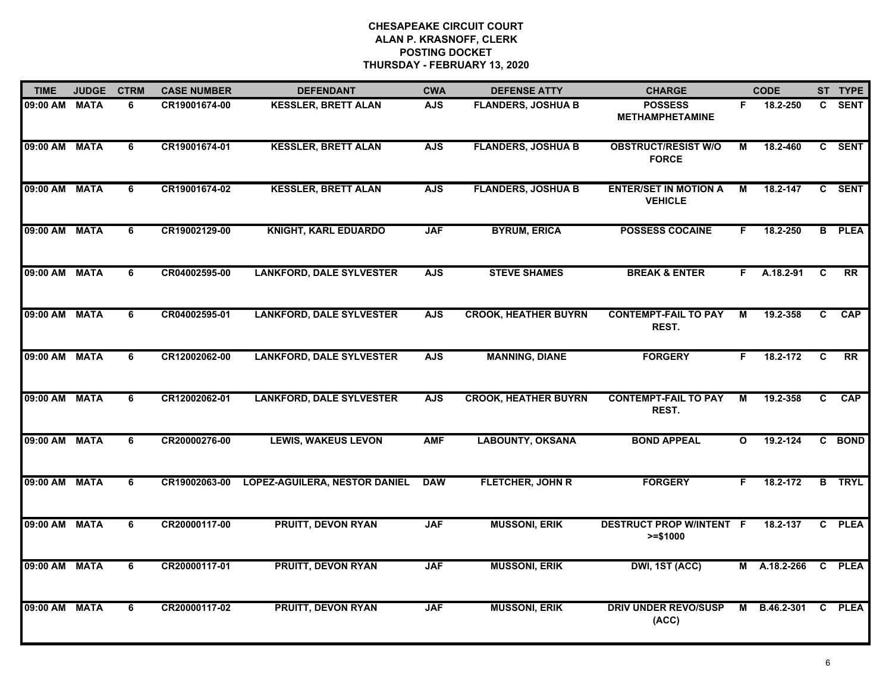| <b>TIME</b>   | <b>JUDGE</b> | <b>CTRM</b>    | <b>CASE NUMBER</b> | <b>DEFENDANT</b>                     | <b>CWA</b> | <b>DEFENSE ATTY</b>         | <b>CHARGE</b>                                  |                | <b>CODE</b> |              | ST TYPE         |
|---------------|--------------|----------------|--------------------|--------------------------------------|------------|-----------------------------|------------------------------------------------|----------------|-------------|--------------|-----------------|
| 09:00 AM      | <b>MATA</b>  | 6              | CR19001674-00      | <b>KESSLER, BRETT ALAN</b>           | <b>AJS</b> | <b>FLANDERS, JOSHUA B</b>   | <b>POSSESS</b><br><b>METHAMPHETAMINE</b>       | F.             | 18.2-250    | $\mathbf{c}$ | <b>SENT</b>     |
| 09:00 AM      | <b>MATA</b>  | 6              | CR19001674-01      | <b>KESSLER, BRETT ALAN</b>           | <b>AJS</b> | <b>FLANDERS, JOSHUA B</b>   | <b>OBSTRUCT/RESIST W/O</b><br><b>FORCE</b>     | м              | 18.2-460    |              | C SENT          |
| 09:00 AM      | <b>MATA</b>  | 6              | CR19001674-02      | <b>KESSLER, BRETT ALAN</b>           | <b>AJS</b> | <b>FLANDERS, JOSHUA B</b>   | <b>ENTER/SET IN MOTION A</b><br><b>VEHICLE</b> | $\overline{M}$ | 18.2-147    |              | C SENT          |
| 09:00 AM      | <b>MATA</b>  | 6              | CR19002129-00      | <b>KNIGHT, KARL EDUARDO</b>          | <b>JAF</b> | <b>BYRUM, ERICA</b>         | <b>POSSESS COCAINE</b>                         | F.             | 18.2-250    | B            | <b>PLEA</b>     |
| 09:00 AM MATA |              | 6              | CR04002595-00      | <b>LANKFORD, DALE SYLVESTER</b>      | <b>AJS</b> | <b>STEVE SHAMES</b>         | <b>BREAK &amp; ENTER</b>                       | F.             | A.18.2-91   | C            | <b>RR</b>       |
| 09:00 AM      | <b>MATA</b>  | 6              | CR04002595-01      | <b>LANKFORD, DALE SYLVESTER</b>      | <b>AJS</b> | <b>CROOK, HEATHER BUYRN</b> | <b>CONTEMPT-FAIL TO PAY</b><br>REST.           | M              | 19.2-358    | C.           | CAP             |
| 09:00 AM      | <b>MATA</b>  | $\overline{6}$ | CR12002062-00      | <b>LANKFORD, DALE SYLVESTER</b>      | <b>AJS</b> | <b>MANNING, DIANE</b>       | <b>FORGERY</b>                                 | F.             | 18.2-172    | C            | $\overline{RR}$ |
| 09:00 AM      | <b>MATA</b>  | 6              | CR12002062-01      | <b>LANKFORD, DALE SYLVESTER</b>      | <b>AJS</b> | <b>CROOK, HEATHER BUYRN</b> | <b>CONTEMPT-FAIL TO PAY</b><br>REST.           | М              | 19.2-358    | C            | <b>CAP</b>      |
| 09:00 AM      | <b>MATA</b>  | 6              | CR20000276-00      | <b>LEWIS, WAKEUS LEVON</b>           | <b>AMF</b> | <b>LABOUNTY, OKSANA</b>     | <b>BOND APPEAL</b>                             | $\mathbf{o}$   | 19.2-124    |              | C BOND          |
| 09:00 AM      | <b>MATA</b>  | 6              | CR19002063-00      | <b>LOPEZ-AGUILERA, NESTOR DANIEL</b> | <b>DAW</b> | FLETCHER, JOHN R            | <b>FORGERY</b>                                 | F.             | 18.2-172    |              | <b>B</b> TRYL   |
| 09:00 AM MATA |              | 6              | CR20000117-00      | <b>PRUITT, DEVON RYAN</b>            | <b>JAF</b> | <b>MUSSONI, ERIK</b>        | <b>DESTRUCT PROP W/INTENT F</b><br>$>= $1000$  |                | 18.2-137    |              | C PLEA          |
| 09:00 AM      | <b>MATA</b>  | $\overline{6}$ | CR20000117-01      | <b>PRUITT, DEVON RYAN</b>            | <b>JAF</b> | <b>MUSSONI, ERIK</b>        | DWI, 1ST (ACC)                                 | м              | A.18.2-266  | C            | <b>PLEA</b>     |
| 09:00 AM      | <b>MATA</b>  | 6              | CR20000117-02      | <b>PRUITT, DEVON RYAN</b>            | <b>JAF</b> | <b>MUSSONI, ERIK</b>        | <b>DRIV UNDER REVO/SUSP</b><br>(ACC)           | м              | B.46.2-301  | C.           | <b>PLEA</b>     |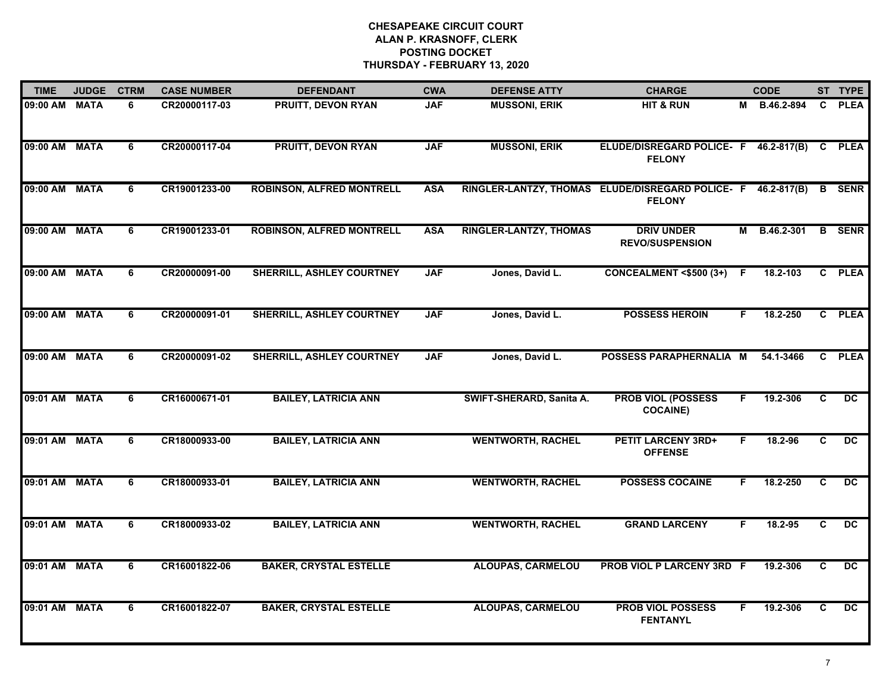| <b>TIME</b>   | <b>JUDGE</b> | <b>CTRM</b>    | <b>CASE NUMBER</b> | <b>DEFENDANT</b>                 | <b>CWA</b> | <b>DEFENSE ATTY</b>           | <b>CHARGE</b>                                                     |    | <b>CODE</b>  |              | ST TYPE         |
|---------------|--------------|----------------|--------------------|----------------------------------|------------|-------------------------------|-------------------------------------------------------------------|----|--------------|--------------|-----------------|
| 09:00 AM MATA |              | 6              | CR20000117-03      | <b>PRUITT, DEVON RYAN</b>        | <b>JAF</b> | <b>MUSSONI, ERIK</b>          | <b>HIT &amp; RUN</b>                                              |    | M B.46.2-894 | C.           | <b>PLEA</b>     |
| 09:00 AM MATA |              | 6              | CR20000117-04      | <b>PRUITT, DEVON RYAN</b>        | <b>JAF</b> | <b>MUSSONI, ERIK</b>          | ELUDE/DISREGARD POLICE- F 46.2-817(B) C PLEA<br><b>FELONY</b>     |    |              |              |                 |
| 09:00 AM MATA |              | $\overline{6}$ | CR19001233-00      | <b>ROBINSON, ALFRED MONTRELL</b> | <b>ASA</b> |                               | RINGLER-LANTZY, THOMAS ELUDE/DISREGARD POLICE- F<br><b>FELONY</b> |    | 46.2-817(B)  |              | <b>B</b> SENR   |
| 09:00 AM MATA |              | 6              | CR19001233-01      | <b>ROBINSON, ALFRED MONTRELL</b> | <b>ASA</b> | <b>RINGLER-LANTZY, THOMAS</b> | <b>DRIV UNDER</b><br><b>REVO/SUSPENSION</b>                       | М  | B.46.2-301   |              | <b>B</b> SENR   |
| 09:00 AM MATA |              | 6              | CR20000091-00      | SHERRILL, ASHLEY COURTNEY        | <b>JAF</b> | Jones, David L.               | <b>CONCEALMENT &lt;\$500 (3+)</b>                                 | -F | 18.2-103     |              | C PLEA          |
| 09:00 AM MATA |              | 6              | CR20000091-01      | <b>SHERRILL, ASHLEY COURTNEY</b> | <b>JAF</b> | Jones, David L.               | <b>POSSESS HEROIN</b>                                             | F. | 18.2-250     |              | C PLEA          |
| 09:00 AM MATA |              | 6              | CR20000091-02      | <b>SHERRILL, ASHLEY COURTNEY</b> | <b>JAF</b> | Jones, David L.               | POSSESS PARAPHERNALIA M                                           |    | 54.1-3466    | C            | <b>PLEA</b>     |
| 09:01 AM      | <b>MATA</b>  | 6              | CR16000671-01      | <b>BAILEY, LATRICIA ANN</b>      |            | SWIFT-SHERARD, Sanita A.      | <b>PROB VIOL (POSSESS</b><br><b>COCAINE)</b>                      | F  | 19.2-306     | C            | $\overline{DC}$ |
| 09:01 AM      | <b>MATA</b>  | 6              | CR18000933-00      | <b>BAILEY, LATRICIA ANN</b>      |            | <b>WENTWORTH, RACHEL</b>      | <b>PETIT LARCENY 3RD+</b><br><b>OFFENSE</b>                       | F  | 18.2-96      | C.           | DC              |
| 09:01 AM MATA |              | 6              | CR18000933-01      | <b>BAILEY, LATRICIA ANN</b>      |            | <b>WENTWORTH, RACHEL</b>      | <b>POSSESS COCAINE</b>                                            | F. | 18.2-250     | $\mathbf{C}$ | $\overline{DC}$ |
| 09:01 AM MATA |              | 6              | CR18000933-02      | <b>BAILEY, LATRICIA ANN</b>      |            | <b>WENTWORTH, RACHEL</b>      | <b>GRAND LARCENY</b>                                              | F. | 18.2-95      | C.           | DC              |
| 09:01 AM MATA |              | 6              | CR16001822-06      | <b>BAKER, CRYSTAL ESTELLE</b>    |            | <b>ALOUPAS, CARMELOU</b>      | PROB VIOL P LARCENY 3RD F                                         |    | 19.2-306     | C            | $\overline{DC}$ |
| 09:01 AM MATA |              | 6              | CR16001822-07      | <b>BAKER, CRYSTAL ESTELLE</b>    |            | <b>ALOUPAS, CARMELOU</b>      | <b>PROB VIOL POSSESS</b><br><b>FENTANYL</b>                       | F  | 19.2-306     | C            | $\overline{DC}$ |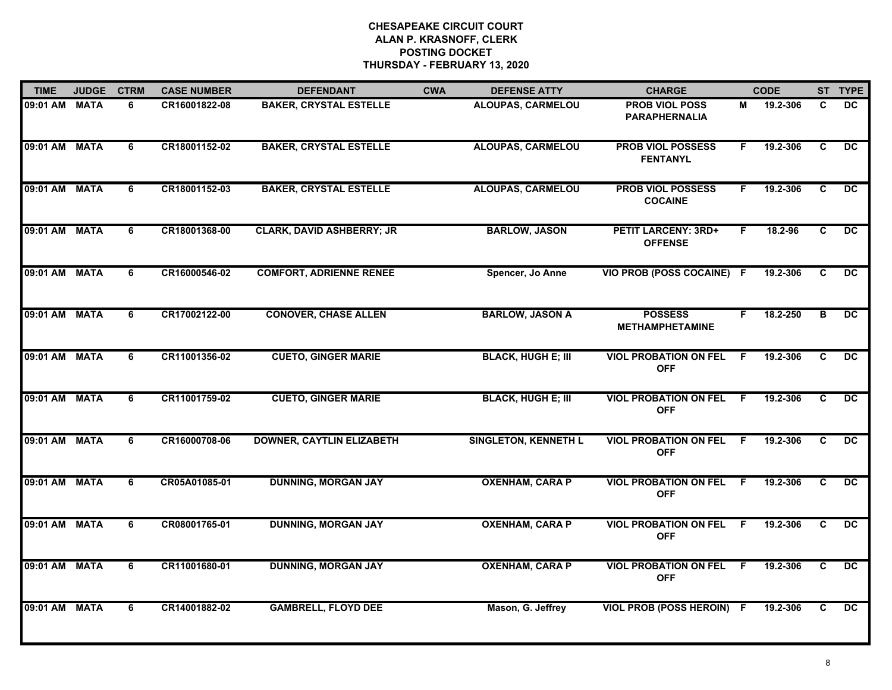| <b>TIME</b>   | <b>JUDGE</b> | <b>CTRM</b> | <b>CASE NUMBER</b> | <b>DEFENDANT</b>                 | <b>CWA</b> | <b>DEFENSE ATTY</b>         | <b>CHARGE</b>                                 |                | <b>CODE</b> |                | ST TYPE         |
|---------------|--------------|-------------|--------------------|----------------------------------|------------|-----------------------------|-----------------------------------------------|----------------|-------------|----------------|-----------------|
| 09:01 AM MATA |              | 6           | CR16001822-08      | <b>BAKER, CRYSTAL ESTELLE</b>    |            | <b>ALOUPAS, CARMELOU</b>    | <b>PROB VIOL POSS</b><br><b>PARAPHERNALIA</b> | М              | 19.2-306    | C              | DC.             |
| 09:01 AM MATA |              | 6           | CR18001152-02      | <b>BAKER, CRYSTAL ESTELLE</b>    |            | <b>ALOUPAS, CARMELOU</b>    | <b>PROB VIOL POSSESS</b><br><b>FENTANYL</b>   | F.             | 19.2-306    | $\overline{c}$ | $\overline{DC}$ |
| 09:01 AM MATA |              | 6           | CR18001152-03      | <b>BAKER, CRYSTAL ESTELLE</b>    |            | <b>ALOUPAS, CARMELOU</b>    | <b>PROB VIOL POSSESS</b><br><b>COCAINE</b>    | F.             | 19.2-306    | C.             | $\overline{DC}$ |
| 09:01 AM MATA |              | 6           | CR18001368-00      | <b>CLARK, DAVID ASHBERRY; JR</b> |            | <b>BARLOW, JASON</b>        | <b>PETIT LARCENY: 3RD+</b><br><b>OFFENSE</b>  | F.             | 18.2-96     | C              | DC.             |
| 09:01 AM MATA |              | 6           | CR16000546-02      | <b>COMFORT, ADRIENNE RENEE</b>   |            | Spencer, Jo Anne            | VIO PROB (POSS COCAINE) F                     |                | 19.2-306    | C              | DC.             |
| 09:01 AM MATA |              | 6           | CR17002122-00      | <b>CONOVER, CHASE ALLEN</b>      |            | <b>BARLOW, JASON A</b>      | <b>POSSESS</b><br><b>METHAMPHETAMINE</b>      |                | 18.2-250    | в              | $\overline{DC}$ |
| 09:01 AM MATA |              | 6           | CR11001356-02      | <b>CUETO, GINGER MARIE</b>       |            | <b>BLACK, HUGH E; III</b>   | <b>VIOL PROBATION ON FEL</b><br><b>OFF</b>    | F.             | 19.2-306    | C              | DC.             |
| 09:01 AM MATA |              | 6           | CR11001759-02      | <b>CUETO, GINGER MARIE</b>       |            | <b>BLACK, HUGH E; III</b>   | <b>VIOL PROBATION ON FEL</b><br><b>OFF</b>    | $\overline{F}$ | 19.2-306    | $\overline{c}$ | $\overline{DC}$ |
| 09:01 AM MATA |              | 6           | CR16000708-06      | <b>DOWNER, CAYTLIN ELIZABETH</b> |            | <b>SINGLETON, KENNETH L</b> | <b>VIOL PROBATION ON FEL</b><br><b>OFF</b>    | -F             | 19.2-306    | C              | <b>DC</b>       |
| 09:01 AM MATA |              | 6           | CR05A01085-01      | <b>DUNNING, MORGAN JAY</b>       |            | <b>OXENHAM, CARA P</b>      | <b>VIOL PROBATION ON FEL</b><br><b>OFF</b>    | -F             | 19.2-306    | C              | DC.             |
| 09:01 AM MATA |              | 6           | CR08001765-01      | <b>DUNNING, MORGAN JAY</b>       |            | <b>OXENHAM, CARA P</b>      | <b>VIOL PROBATION ON FEL</b><br><b>OFF</b>    |                | 19.2-306    | C              | $\overline{DC}$ |
| 09:01 AM MATA |              | 6           | CR11001680-01      | <b>DUNNING, MORGAN JAY</b>       |            | <b>OXENHAM, CARA P</b>      | <b>VIOL PROBATION ON FEL</b><br><b>OFF</b>    | F.             | 19.2-306    | C              | DC              |
| 09:01 AM      | <b>MATA</b>  | 6           | CR14001882-02      | <b>GAMBRELL, FLOYD DEE</b>       |            | Mason, G. Jeffrey           | <b>VIOL PROB (POSS HEROIN) F</b>              |                | 19.2-306    | C.             | $\overline{DC}$ |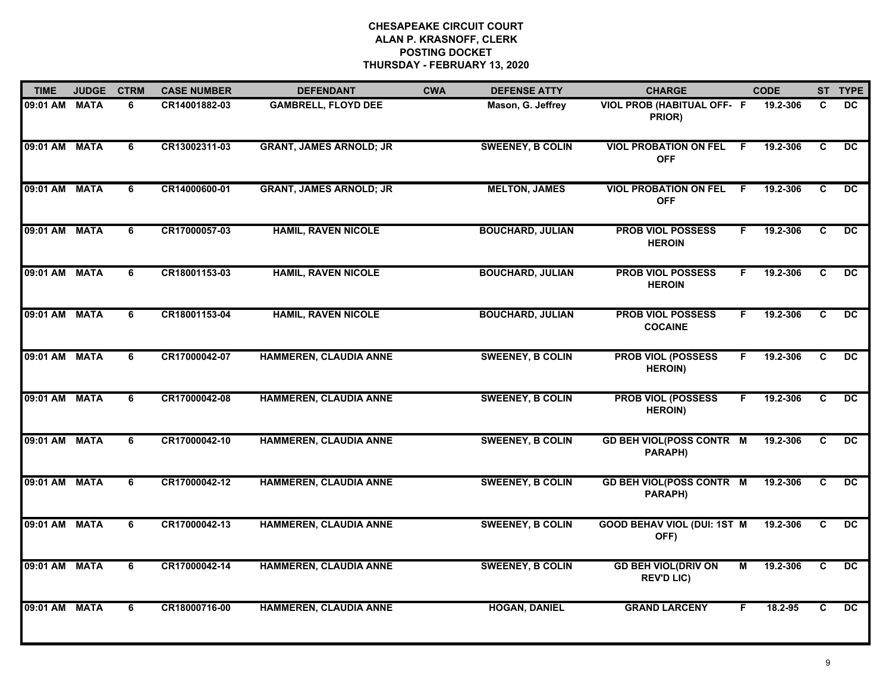| <b>TIME</b>   | <b>JUDGE</b> | <b>CTRM</b> | <b>CASE NUMBER</b> | <b>DEFENDANT</b>               | <b>CWA</b> | <b>DEFENSE ATTY</b>     | <b>CHARGE</b>                                   |     | <b>CODE</b> |                | ST TYPE         |
|---------------|--------------|-------------|--------------------|--------------------------------|------------|-------------------------|-------------------------------------------------|-----|-------------|----------------|-----------------|
| 09:01 AM MATA |              | 6           | CR14001882-03      | <b>GAMBRELL, FLOYD DEE</b>     |            | Mason, G. Jeffrey       | VIOL PROB (HABITUAL OFF- F<br>PRIOR)            |     | 19.2-306    | C              | <b>DC</b>       |
| 09:01 AM MATA |              | 6           | CR13002311-03      | <b>GRANT, JAMES ARNOLD; JR</b> |            | <b>SWEENEY, B COLIN</b> | <b>VIOL PROBATION ON FEL</b><br><b>OFF</b>      | - F | 19.2-306    | C              | $\overline{DC}$ |
| 09:01 AM      | <b>MATA</b>  | 6           | CR14000600-01      | <b>GRANT, JAMES ARNOLD; JR</b> |            | <b>MELTON, JAMES</b>    | <b>VIOL PROBATION ON FEL</b><br><b>OFF</b>      | F.  | 19.2-306    | C              | $\overline{DC}$ |
| 09:01 AM      | <b>MATA</b>  | 6           | CR17000057-03      | <b>HAMIL, RAVEN NICOLE</b>     |            | <b>BOUCHARD, JULIAN</b> | <b>PROB VIOL POSSESS</b><br><b>HEROIN</b>       | F   | 19.2-306    | C              | <b>DC</b>       |
| 09:01 AM MATA |              | 6           | CR18001153-03      | <b>HAMIL, RAVEN NICOLE</b>     |            | <b>BOUCHARD, JULIAN</b> | <b>PROB VIOL POSSESS</b><br><b>HEROIN</b>       | F.  | 19.2-306    | C              | DC.             |
| 09:01 AM MATA |              | 6           | CR18001153-04      | <b>HAMIL, RAVEN NICOLE</b>     |            | <b>BOUCHARD, JULIAN</b> | <b>PROB VIOL POSSESS</b><br><b>COCAINE</b>      | F   | 19.2-306    | C              | $\overline{DC}$ |
| 09:01 AM MATA |              | 6           | CR17000042-07      | <b>HAMMEREN, CLAUDIA ANNE</b>  |            | <b>SWEENEY, B COLIN</b> | <b>PROB VIOL (POSSESS</b><br><b>HEROIN)</b>     | F   | 19.2-306    | C              | $\overline{DC}$ |
| 09:01 AM      | <b>MATA</b>  | 6           | CR17000042-08      | <b>HAMMEREN, CLAUDIA ANNE</b>  |            | <b>SWEENEY, B COLIN</b> | <b>PROB VIOL (POSSESS</b><br><b>HEROIN)</b>     | F   | 19.2-306    | $\overline{c}$ | $\overline{DC}$ |
| 09:01 AM MATA |              | 6           | CR17000042-10      | <b>HAMMEREN, CLAUDIA ANNE</b>  |            | <b>SWEENEY, B COLIN</b> | <b>GD BEH VIOL(POSS CONTR M</b><br>PARAPH)      |     | 19.2-306    | C              | <b>DC</b>       |
| 09:01 AM MATA |              | 6           | CR17000042-12      | HAMMEREN, CLAUDIA ANNE         |            | <b>SWEENEY, B COLIN</b> | <b>GD BEH VIOL(POSS CONTR M</b><br>PARAPH)      |     | 19.2-306    | C              | <b>DC</b>       |
| 09:01 AM MATA |              | 6           | CR17000042-13      | <b>HAMMEREN, CLAUDIA ANNE</b>  |            | <b>SWEENEY, B COLIN</b> | <b>GOOD BEHAV VIOL (DUI: 1ST M</b><br>OFF)      |     | 19.2-306    | C              | $\overline{DC}$ |
| 09:01 AM MATA |              | 6           | CR17000042-14      | <b>HAMMEREN, CLAUDIA ANNE</b>  |            | <b>SWEENEY, B COLIN</b> | <b>GD BEH VIOL(DRIV ON</b><br><b>REV'D LIC)</b> | М   | 19.2-306    | C              | $\overline{DC}$ |
| 09:01 AM MATA |              | 6           | CR18000716-00      | <b>HAMMEREN, CLAUDIA ANNE</b>  |            | <b>HOGAN, DANIEL</b>    | <b>GRAND LARCENY</b>                            | F.  | 18.2-95     | C              | $\overline{DC}$ |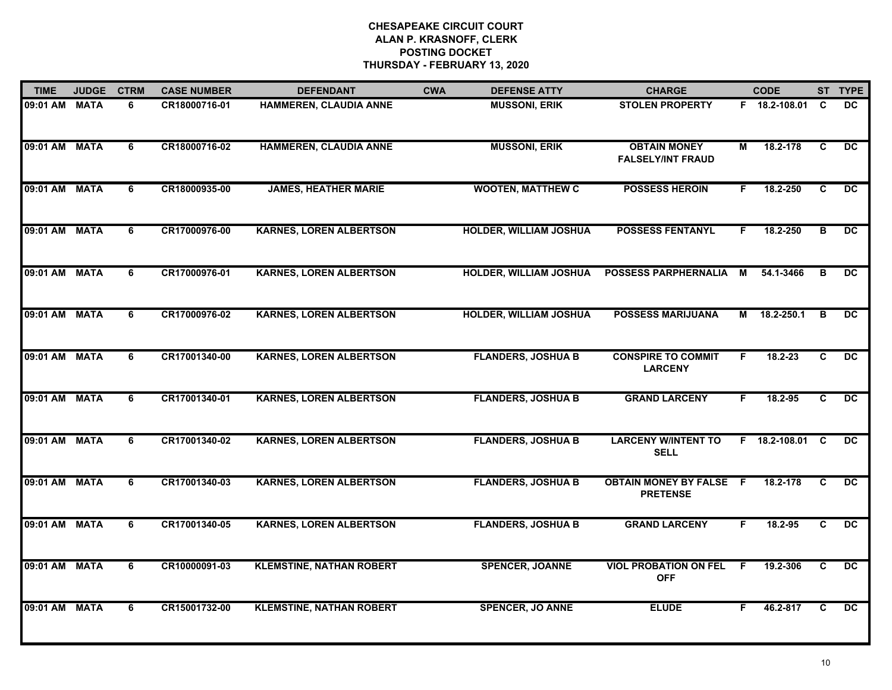| <b>TIME</b>   | <b>JUDGE</b> | <b>CTRM</b>    | <b>CASE NUMBER</b> | <b>DEFENDANT</b>                | <b>CWA</b> | <b>DEFENSE ATTY</b>           | <b>CHARGE</b>                                     |     | <b>CODE</b>     |                         | ST TYPE         |
|---------------|--------------|----------------|--------------------|---------------------------------|------------|-------------------------------|---------------------------------------------------|-----|-----------------|-------------------------|-----------------|
| 09:01 AM MATA |              | 6              | CR18000716-01      | HAMMEREN, CLAUDIA ANNE          |            | <b>MUSSONI, ERIK</b>          | <b>STOLEN PROPERTY</b>                            |     | F 18.2-108.01   | C.                      | <b>DC</b>       |
| 09:01 AM MATA |              | 6              | CR18000716-02      | <b>HAMMEREN, CLAUDIA ANNE</b>   |            | <b>MUSSONI, ERIK</b>          | <b>OBTAIN MONEY</b><br><b>FALSELY/INT FRAUD</b>   | М   | 18.2-178        | C                       | $\overline{DC}$ |
| 09:01 AM      | <b>MATA</b>  | 6              | CR18000935-00      | <b>JAMES, HEATHER MARIE</b>     |            | <b>WOOTEN, MATTHEW C</b>      | <b>POSSESS HEROIN</b>                             | F.  | 18.2-250        | $\overline{c}$          | $\overline{DC}$ |
| 09:01 AM MATA |              | 6              | CR17000976-00      | <b>KARNES, LOREN ALBERTSON</b>  |            | <b>HOLDER, WILLIAM JOSHUA</b> | <b>POSSESS FENTANYL</b>                           | F   | 18.2-250        | в                       | <b>DC</b>       |
| 09:01 AM MATA |              | 6              | CR17000976-01      | <b>KARNES, LOREN ALBERTSON</b>  |            | <b>HOLDER, WILLIAM JOSHUA</b> | <b>POSSESS PARPHERNALIA</b>                       | M   | 54.1-3466       | в                       | <b>DC</b>       |
| 09:01 AM MATA |              | 6              | CR17000976-02      | <b>KARNES, LOREN ALBERTSON</b>  |            | <b>HOLDER, WILLIAM JOSHUA</b> | <b>POSSESS MARIJUANA</b>                          |     | M 18.2-250.1    | B                       | DC.             |
| 09:01 AM MATA |              | 6              | CR17001340-00      | <b>KARNES, LOREN ALBERTSON</b>  |            | <b>FLANDERS, JOSHUA B</b>     | <b>CONSPIRE TO COMMIT</b><br><b>LARCENY</b>       | F   | $18.2 - 23$     | C                       | $\overline{DC}$ |
| 09:01 AM      | <b>MATA</b>  | 6              | CR17001340-01      | <b>KARNES, LOREN ALBERTSON</b>  |            | <b>FLANDERS, JOSHUA B</b>     | <b>GRAND LARCENY</b>                              | F.  | 18.2-95         | $\overline{c}$          | $\overline{DC}$ |
| 09:01 AM      | <b>MATA</b>  | 6              | CR17001340-02      | <b>KARNES, LOREN ALBERTSON</b>  |            | <b>FLANDERS, JOSHUA B</b>     | <b>LARCENY W/INTENT TO</b><br><b>SELL</b>         |     | F 18.2-108.01 C |                         | DC.             |
| 09:01 AM MATA |              | 6              | CR17001340-03      | <b>KARNES, LOREN ALBERTSON</b>  |            | <b>FLANDERS, JOSHUA B</b>     | <b>OBTAIN MONEY BY FALSE F</b><br><b>PRETENSE</b> |     | 18.2-178        | C                       | <b>DC</b>       |
| 09:01 AM MATA |              | 6              | CR17001340-05      | <b>KARNES, LOREN ALBERTSON</b>  |            | <b>FLANDERS, JOSHUA B</b>     | <b>GRAND LARCENY</b>                              | F   | 18.2-95         | C.                      | DC              |
| 09:01 AM MATA |              | 6              | CR10000091-03      | <b>KLEMSTINE, NATHAN ROBERT</b> |            | <b>SPENCER, JOANNE</b>        | <b>VIOL PROBATION ON FEL</b><br><b>OFF</b>        | - F | 19.2-306        | C                       | $\overline{DC}$ |
| 09:01 AM      | <b>MATA</b>  | $\overline{6}$ | CR15001732-00      | <b>KLEMSTINE, NATHAN ROBERT</b> |            | <b>SPENCER, JO ANNE</b>       | <b>ELUDE</b>                                      | F.  | 46.2-817        | $\overline{\mathbf{c}}$ | $\overline{DC}$ |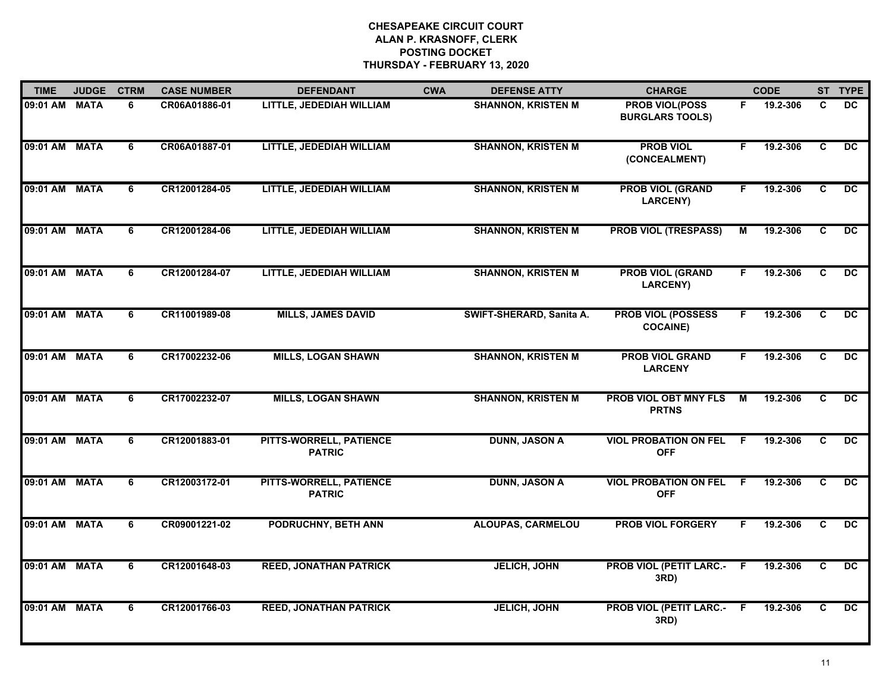| <b>TIME</b>   | <b>JUDGE</b> | <b>CTRM</b> | <b>CASE NUMBER</b> | <b>DEFENDANT</b>                         | <b>CWA</b> | <b>DEFENSE ATTY</b>       | <b>CHARGE</b>                                   |                | <b>CODE</b> |                | ST TYPE         |
|---------------|--------------|-------------|--------------------|------------------------------------------|------------|---------------------------|-------------------------------------------------|----------------|-------------|----------------|-----------------|
| 09:01 AM      | <b>MATA</b>  | 6           | CR06A01886-01      | LITTLE, JEDEDIAH WILLIAM                 |            | <b>SHANNON, KRISTEN M</b> | <b>PROB VIOL(POSS</b><br><b>BURGLARS TOOLS)</b> | F.             | 19.2-306    | C              | <b>DC</b>       |
| 09:01 AM MATA |              | 6           | CR06A01887-01      | LITTLE, JEDEDIAH WILLIAM                 |            | <b>SHANNON, KRISTEN M</b> | <b>PROB VIOL</b><br>(CONCEALMENT)               | F.             | 19.2-306    | $\overline{c}$ | DC.             |
| 09:01 AM      | <b>MATA</b>  | 6           | CR12001284-05      | LITTLE, JEDEDIAH WILLIAM                 |            | <b>SHANNON, KRISTEN M</b> | <b>PROB VIOL (GRAND</b><br><b>LARCENY)</b>      | F.             | 19.2-306    | C.             | $\overline{DC}$ |
| 09:01 AM MATA |              | 6           | CR12001284-06      | LITTLE, JEDEDIAH WILLIAM                 |            | <b>SHANNON, KRISTEN M</b> | <b>PROB VIOL (TRESPASS)</b>                     | М              | 19.2-306    | C              | DC.             |
| 09:01 AM MATA |              | 6           | CR12001284-07      | LITTLE, JEDEDIAH WILLIAM                 |            | <b>SHANNON, KRISTEN M</b> | <b>PROB VIOL (GRAND</b><br><b>LARCENY)</b>      | F.             | 19.2-306    | C.             | DC              |
| 09:01 AM MATA |              | 6           | CR11001989-08      | <b>MILLS, JAMES DAVID</b>                |            | SWIFT-SHERARD, Sanita A.  | <b>PROB VIOL (POSSESS</b><br><b>COCAINE)</b>    | F              | 19.2-306    | C              | $\overline{DC}$ |
| 09:01 AM MATA |              | 6           | CR17002232-06      | <b>MILLS, LOGAN SHAWN</b>                |            | <b>SHANNON, KRISTEN M</b> | <b>PROB VIOL GRAND</b><br><b>LARCENY</b>        | F              | 19.2-306    | C              | $\overline{DC}$ |
| 09:01 AM      | <b>MATA</b>  | 6           | CR17002232-07      | <b>MILLS, LOGAN SHAWN</b>                |            | <b>SHANNON, KRISTEN M</b> | <b>PROB VIOL OBT MNY FLS</b><br><b>PRTNS</b>    | $\overline{M}$ | 19.2-306    | $\overline{c}$ | $\overline{DC}$ |
| 09:01 AM      | <b>MATA</b>  | 6           | CR12001883-01      | PITTS-WORRELL, PATIENCE<br><b>PATRIC</b> |            | <b>DUNN, JASON A</b>      | <b>VIOL PROBATION ON FEL</b><br><b>OFF</b>      | -F             | 19.2-306    | C              | <b>DC</b>       |
| 09:01 AM MATA |              | 6           | CR12003172-01      | PITTS-WORRELL, PATIENCE<br><b>PATRIC</b> |            | <b>DUNN, JASON A</b>      | <b>VIOL PROBATION ON FEL</b><br><b>OFF</b>      | F.             | 19.2-306    | C              | <b>DC</b>       |
| 09:01 AM MATA |              | 6           | CR09001221-02      | <b>PODRUCHNY, BETH ANN</b>               |            | <b>ALOUPAS, CARMELOU</b>  | <b>PROB VIOL FORGERY</b>                        | F.             | 19.2-306    | C              | $\overline{DC}$ |
| 09:01 AM MATA |              | 6           | CR12001648-03      | <b>REED, JONATHAN PATRICK</b>            |            | <b>JELICH, JOHN</b>       | <b>PROB VIOL (PETIT LARC.- F</b><br>3RD)        |                | 19.2-306    | C              | $\overline{DC}$ |
| 09:01 AM MATA |              | 6           | CR12001766-03      | <b>REED, JONATHAN PATRICK</b>            |            | <b>JELICH, JOHN</b>       | <b>PROB VIOL (PETIT LARC.- F</b><br>3RD)        |                | 19.2-306    | C              | $\overline{DC}$ |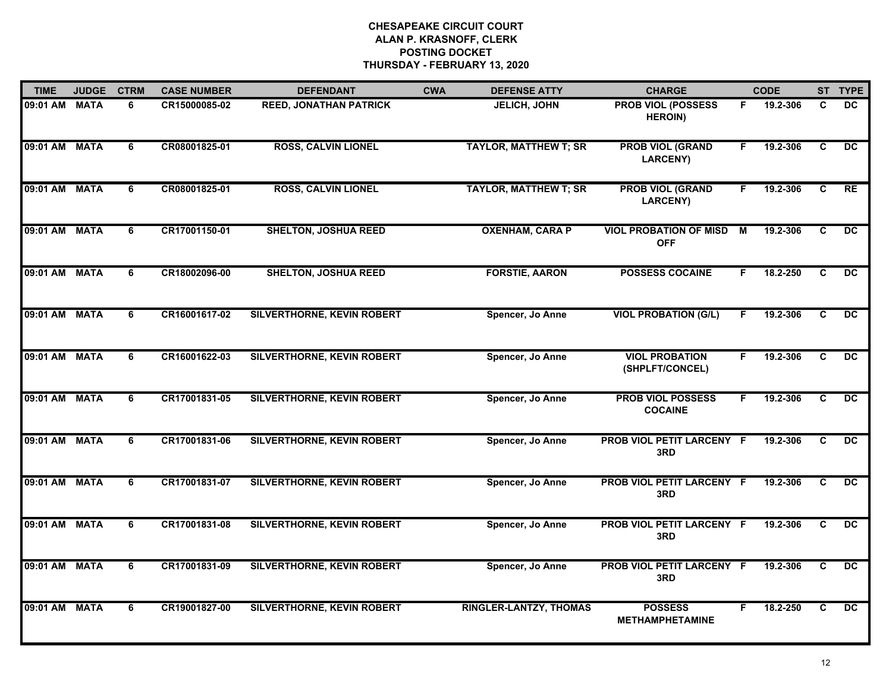| <b>TIME</b>   | <b>JUDGE</b> | <b>CTRM</b>    | <b>CASE NUMBER</b> | <b>DEFENDANT</b>                  | <b>CWA</b> | <b>DEFENSE ATTY</b>           | <b>CHARGE</b>                               |    | <b>CODE</b> |                         | ST TYPE         |
|---------------|--------------|----------------|--------------------|-----------------------------------|------------|-------------------------------|---------------------------------------------|----|-------------|-------------------------|-----------------|
| 09:01 AM MATA |              | 6              | CR15000085-02      | <b>REED, JONATHAN PATRICK</b>     |            | <b>JELICH, JOHN</b>           | <b>PROB VIOL (POSSESS</b><br><b>HEROIN)</b> | F  | 19.2-306    | C                       | <b>DC</b>       |
| 09:01 AM MATA |              | 6              | CR08001825-01      | <b>ROSS, CALVIN LIONEL</b>        |            | <b>TAYLOR, MATTHEW T; SR</b>  | <b>PROB VIOL (GRAND</b><br>LARCENY)         | F  | 19.2-306    | C                       | $\overline{DC}$ |
| 09:01 AM      | <b>MATA</b>  | 6              | CR08001825-01      | <b>ROSS, CALVIN LIONEL</b>        |            | <b>TAYLOR, MATTHEW T; SR</b>  | <b>PROB VIOL (GRAND</b><br><b>LARCENY)</b>  | F. | 19.2-306    | $\overline{\mathbf{c}}$ | RE              |
| 09:01 AM      | <b>MATA</b>  | 6              | CR17001150-01      | <b>SHELTON, JOSHUA REED</b>       |            | <b>OXENHAM, CARA P</b>        | <b>VIOL PROBATION OF MISD</b><br><b>OFF</b> | М  | 19.2-306    | C                       | <b>DC</b>       |
| 09:01 AM MATA |              | 6              | CR18002096-00      | <b>SHELTON, JOSHUA REED</b>       |            | <b>FORSTIE, AARON</b>         | <b>POSSESS COCAINE</b>                      | F. | 18.2-250    | C                       | <b>DC</b>       |
| 09:01 AM MATA |              | 6              | CR16001617-02      | SILVERTHORNE, KEVIN ROBERT        |            | Spencer, Jo Anne              | <b>VIOL PROBATION (G/L)</b>                 | F  | 19.2-306    | C                       | DC.             |
| 09:01 AM MATA |              | 6              | CR16001622-03      | SILVERTHORNE, KEVIN ROBERT        |            | Spencer, Jo Anne              | <b>VIOL PROBATION</b><br>(SHPLFT/CONCEL)    | F  | 19.2-306    | C                       | $\overline{DC}$ |
| 09:01 AM      | <b>MATA</b>  | 6              | CR17001831-05      | SILVERTHORNE, KEVIN ROBERT        |            | Spencer, Jo Anne              | <b>PROB VIOL POSSESS</b><br><b>COCAINE</b>  | F. | 19.2-306    | $\overline{c}$          | $\overline{DC}$ |
| 09:01 AM      | <b>MATA</b>  | 6              | CR17001831-06      | <b>SILVERTHORNE, KEVIN ROBERT</b> |            | Spencer, Jo Anne              | PROB VIOL PETIT LARCENY F<br>3RD            |    | 19.2-306    | C                       | DC.             |
| 09:01 AM MATA |              | 6              | CR17001831-07      | SILVERTHORNE, KEVIN ROBERT        |            | Spencer, Jo Anne              | PROB VIOL PETIT LARCENY F<br>3RD            |    | 19.2-306    | C                       | <b>DC</b>       |
| 09:01 AM MATA |              | 6              | CR17001831-08      | SILVERTHORNE, KEVIN ROBERT        |            | Spencer, Jo Anne              | <b>PROB VIOL PETIT LARCENY F</b><br>3RD     |    | 19.2-306    | C                       | DC.             |
| 09:01 AM MATA |              | 6              | CR17001831-09      | SILVERTHORNE, KEVIN ROBERT        |            | Spencer, Jo Anne              | <b>PROB VIOL PETIT LARCENY F</b><br>3RD     |    | 19.2-306    | C                       | $\overline{DC}$ |
| 09:01 AM      | <b>MATA</b>  | $\overline{6}$ | CR19001827-00      | <b>SILVERTHORNE, KEVIN ROBERT</b> |            | <b>RINGLER-LANTZY, THOMAS</b> | <b>POSSESS</b><br><b>METHAMPHETAMINE</b>    | F  | 18.2-250    | $\overline{c}$          | $\overline{DC}$ |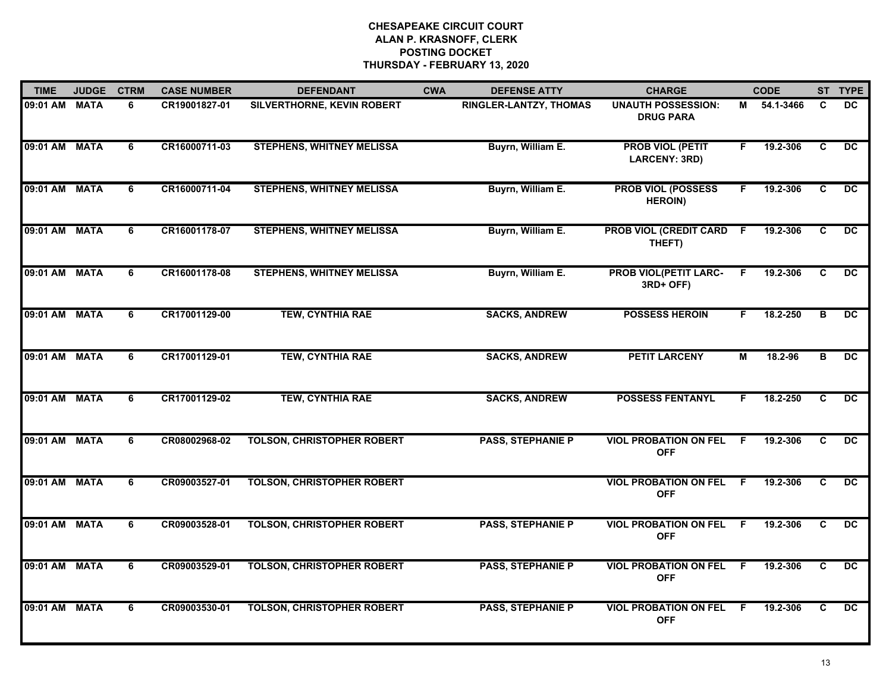| <b>TIME</b>   | <b>JUDGE</b> | <b>CTRM</b> | <b>CASE NUMBER</b> | <b>DEFENDANT</b>                  | <b>CWA</b> | <b>DEFENSE ATTY</b>      | <b>CHARGE</b>                                   |    | <b>CODE</b> |                         | ST TYPE         |
|---------------|--------------|-------------|--------------------|-----------------------------------|------------|--------------------------|-------------------------------------------------|----|-------------|-------------------------|-----------------|
| 09:01 AM MATA |              | 6           | CR19001827-01      | SILVERTHORNE, KEVIN ROBERT        |            | RINGLER-LANTZY, THOMAS   | <b>UNAUTH POSSESSION:</b><br><b>DRUG PARA</b>   |    | M 54.1-3466 | C                       | DC.             |
| 09:01 AM MATA |              | 6           | CR16000711-03      | <b>STEPHENS, WHITNEY MELISSA</b>  |            | Buyrn, William E.        | <b>PROB VIOL (PETIT</b><br><b>LARCENY: 3RD)</b> | F. | 19.2-306    | C                       | DC.             |
| 09:01 AM MATA |              | 6           | CR16000711-04      | <b>STEPHENS, WHITNEY MELISSA</b>  |            | Buyrn, William E.        | <b>PROB VIOL (POSSESS</b><br><b>HEROIN)</b>     | F. | 19.2-306    | $\overline{\mathbf{c}}$ | $\overline{DC}$ |
| 09:01 AM MATA |              | 6           | CR16001178-07      | <b>STEPHENS, WHITNEY MELISSA</b>  |            | Buyrn, William E.        | <b>PROB VIOL (CREDIT CARD</b><br>THEFT)         | F. | 19.2-306    | C                       | <b>DC</b>       |
| 09:01 AM MATA |              | 6           | CR16001178-08      | <b>STEPHENS, WHITNEY MELISSA</b>  |            | Buyrn, William E.        | <b>PROB VIOL(PETIT LARC-</b><br>3RD+ OFF)       | F. | 19.2-306    | C                       | DC.             |
| 09:01 AM MATA |              | 6           | CR17001129-00      | <b>TEW, CYNTHIA RAE</b>           |            | <b>SACKS, ANDREW</b>     | <b>POSSESS HEROIN</b>                           | F. | 18.2-250    | в                       | $\overline{DC}$ |
| 09:01 AM MATA |              | 6           | CR17001129-01      | <b>TEW, CYNTHIA RAE</b>           |            | <b>SACKS, ANDREW</b>     | <b>PETIT LARCENY</b>                            | М  | 18.2-96     | в                       | $\overline{DC}$ |
| 09:01 AM MATA |              | 6           | CR17001129-02      | <b>TEW, CYNTHIA RAE</b>           |            | <b>SACKS, ANDREW</b>     | <b>POSSESS FENTANYL</b>                         | F  | 18.2-250    | C                       | $\overline{DC}$ |
| 09:01 AM MATA |              | 6           | CR08002968-02      | <b>TOLSON, CHRISTOPHER ROBERT</b> |            | <b>PASS, STEPHANIE P</b> | <b>VIOL PROBATION ON FEL</b><br><b>OFF</b>      | F. | 19.2-306    | C.                      | <b>DC</b>       |
| 09:01 AM MATA |              | 6           | CR09003527-01      | <b>TOLSON, CHRISTOPHER ROBERT</b> |            |                          | <b>VIOL PROBATION ON FEL</b><br><b>OFF</b>      | F. | 19.2-306    | C                       | <b>DC</b>       |
| 09:01 AM MATA |              | 6           | CR09003528-01      | <b>TOLSON, CHRISTOPHER ROBERT</b> |            | <b>PASS, STEPHANIE P</b> | <b>VIOL PROBATION ON FEL</b><br><b>OFF</b>      | -F | 19.2-306    | C.                      | DC.             |
| 09:01 AM MATA |              | 6           | CR09003529-01      | <b>TOLSON, CHRISTOPHER ROBERT</b> |            | <b>PASS, STEPHANIE P</b> | <b>VIOL PROBATION ON FEL</b><br><b>OFF</b>      | F. | 19.2-306    | C                       | DC.             |
| 09:01 AM MATA |              | 6           | CR09003530-01      | <b>TOLSON, CHRISTOPHER ROBERT</b> |            | <b>PASS, STEPHANIE P</b> | <b>VIOL PROBATION ON FEL</b><br><b>OFF</b>      | -F | 19.2-306    | C                       | $\overline{DC}$ |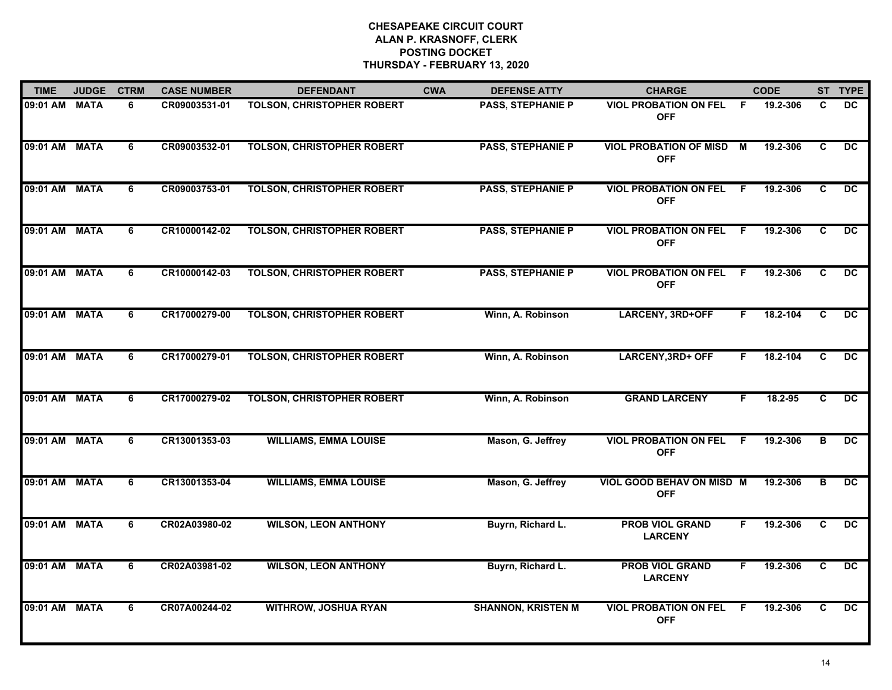| <b>TIME</b>   | <b>JUDGE</b> | <b>CTRM</b> | <b>CASE NUMBER</b> | <b>DEFENDANT</b>                  | <b>CWA</b> | <b>DEFENSE ATTY</b>       | <b>CHARGE</b>                                  |     | <b>CODE</b> |                         | ST TYPE         |
|---------------|--------------|-------------|--------------------|-----------------------------------|------------|---------------------------|------------------------------------------------|-----|-------------|-------------------------|-----------------|
| 09:01 AM      | <b>MATA</b>  | 6           | CR09003531-01      | <b>TOLSON, CHRISTOPHER ROBERT</b> |            | <b>PASS, STEPHANIE P</b>  | <b>VIOL PROBATION ON FEL</b><br><b>OFF</b>     | -F  | 19.2-306    | C                       | DC              |
| 09:01 AM MATA |              | 6           | CR09003532-01      | <b>TOLSON, CHRISTOPHER ROBERT</b> |            | <b>PASS, STEPHANIE P</b>  | <b>VIOL PROBATION OF MISD M</b><br><b>OFF</b>  |     | 19.2-306    | C                       | DC.             |
| 09:01 AM      | <b>MATA</b>  | 6           | CR09003753-01      | <b>TOLSON, CHRISTOPHER ROBERT</b> |            | <b>PASS, STEPHANIE P</b>  | <b>VIOL PROBATION ON FEL</b><br><b>OFF</b>     | - F | 19.2-306    | $\overline{\mathbf{c}}$ | $\overline{DC}$ |
| 09:01 AM      | <b>MATA</b>  | 6           | CR10000142-02      | <b>TOLSON, CHRISTOPHER ROBERT</b> |            | <b>PASS, STEPHANIE P</b>  | <b>VIOL PROBATION ON FEL</b><br><b>OFF</b>     | .F  | 19.2-306    | C                       | <b>DC</b>       |
| 09:01 AM MATA |              | 6           | CR10000142-03      | <b>TOLSON, CHRISTOPHER ROBERT</b> |            | <b>PASS, STEPHANIE P</b>  | <b>VIOL PROBATION ON FEL</b><br><b>OFF</b>     | F.  | 19.2-306    | C                       | DC              |
| 09:01 AM MATA |              | 6           | CR17000279-00      | <b>TOLSON, CHRISTOPHER ROBERT</b> |            | Winn, A. Robinson         | <b>LARCENY, 3RD+OFF</b>                        | F.  | 18.2-104    | C                       | DC              |
| 09:01 AM MATA |              | 6           | CR17000279-01      | <b>TOLSON, CHRISTOPHER ROBERT</b> |            | Winn, A. Robinson         | <b>LARCENY, 3RD+ OFF</b>                       | F   | 18.2-104    | C                       | DC              |
| 09:01 AM      | <b>MATA</b>  | 6           | CR17000279-02      | <b>TOLSON, CHRISTOPHER ROBERT</b> |            | Winn, A. Robinson         | <b>GRAND LARCENY</b>                           | F   | 18.2-95     | C                       | $\overline{DC}$ |
| 09:01 AM      | <b>MATA</b>  | 6           | CR13001353-03      | <b>WILLIAMS, EMMA LOUISE</b>      |            | Mason, G. Jeffrey         | <b>VIOL PROBATION ON FEL</b><br><b>OFF</b>     | E   | 19.2-306    | в                       | DC.             |
| 09:01 AM      | <b>MATA</b>  | 6           | CR13001353-04      | <b>WILLIAMS, EMMA LOUISE</b>      |            | Mason, G. Jeffrey         | <b>VIOL GOOD BEHAV ON MISD M</b><br><b>OFF</b> |     | 19.2-306    | в                       | <b>DC</b>       |
| 09:01 AM MATA |              | 6           | CR02A03980-02      | <b>WILSON, LEON ANTHONY</b>       |            | Buyrn, Richard L.         | <b>PROB VIOL GRAND</b><br><b>LARCENY</b>       | F.  | 19.2-306    | C                       | DC.             |
| 09:01 AM      | <b>MATA</b>  | 6           | CR02A03981-02      | <b>WILSON, LEON ANTHONY</b>       |            | Buyrn, Richard L.         | <b>PROB VIOL GRAND</b><br><b>LARCENY</b>       | F.  | 19.2-306    | C                       | DC.             |
| 09:01 AM      | <b>MATA</b>  | 6           | CR07A00244-02      | <b>WITHROW, JOSHUA RYAN</b>       |            | <b>SHANNON, KRISTEN M</b> | <b>VIOL PROBATION ON FEL</b><br><b>OFF</b>     | F   | 19.2-306    | C                       | DC              |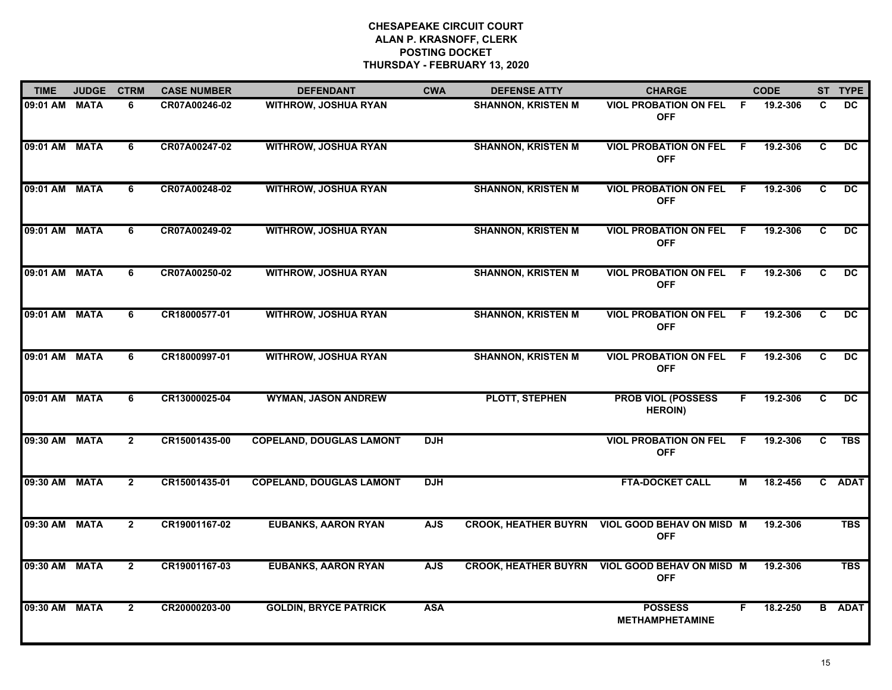| <b>TIME</b>   | <b>JUDGE</b> | <b>CTRM</b>    | <b>CASE NUMBER</b> | <b>DEFENDANT</b>                | <b>CWA</b> | <b>DEFENSE ATTY</b>         | <b>CHARGE</b>                                |                | <b>CODE</b> |                         | ST TYPE         |
|---------------|--------------|----------------|--------------------|---------------------------------|------------|-----------------------------|----------------------------------------------|----------------|-------------|-------------------------|-----------------|
| 09:01 AM MATA |              | 6              | CR07A00246-02      | WITHROW, JOSHUA RYAN            |            | <b>SHANNON, KRISTEN M</b>   | <b>VIOL PROBATION ON FEL</b><br><b>OFF</b>   | -F             | 19.2-306    | C                       | DC              |
| 09:01 AM MATA |              | 6              | CR07A00247-02      | <b>WITHROW, JOSHUA RYAN</b>     |            | <b>SHANNON, KRISTEN M</b>   | <b>VIOL PROBATION ON FEL F</b><br><b>OFF</b> |                | 19.2-306    | C                       | $\overline{DC}$ |
| 09:01 AM MATA |              | 6              | CR07A00248-02      | <b>WITHROW, JOSHUA RYAN</b>     |            | <b>SHANNON, KRISTEN M</b>   | <b>VIOL PROBATION ON FEL</b><br><b>OFF</b>   | $\overline{F}$ | 19.2-306    | $\overline{\mathbf{c}}$ | $\overline{DC}$ |
| 09:01 AM MATA |              | 6              | CR07A00249-02      | <b>WITHROW, JOSHUA RYAN</b>     |            | <b>SHANNON, KRISTEN M</b>   | <b>VIOL PROBATION ON FEL</b><br><b>OFF</b>   | E              | 19.2-306    | C                       | <b>DC</b>       |
| 09:01 AM MATA |              | 6              | CR07A00250-02      | <b>WITHROW, JOSHUA RYAN</b>     |            | <b>SHANNON, KRISTEN M</b>   | <b>VIOL PROBATION ON FEL</b><br><b>OFF</b>   | - F            | 19.2-306    | C                       | <b>DC</b>       |
| 09:01 AM MATA |              | 6              | CR18000577-01      | <b>WITHROW, JOSHUA RYAN</b>     |            | <b>SHANNON, KRISTEN M</b>   | <b>VIOL PROBATION ON FEL</b><br><b>OFF</b>   | -F             | 19.2-306    | C.                      | <b>DC</b>       |
| 09:01 AM MATA |              | 6              | CR18000997-01      | <b>WITHROW, JOSHUA RYAN</b>     |            | <b>SHANNON, KRISTEN M</b>   | <b>VIOL PROBATION ON FEL</b><br><b>OFF</b>   | - F            | 19.2-306    | C                       | DC.             |
| 09:01 AM MATA |              | 6              | CR13000025-04      | <b>WYMAN, JASON ANDREW</b>      |            | PLOTT, STEPHEN              | <b>PROB VIOL (POSSESS</b><br><b>HEROIN)</b>  | F              | 19.2-306    | $\overline{\mathbf{c}}$ | $\overline{DC}$ |
| 09:30 AM      | <b>MATA</b>  | $\overline{2}$ | CR15001435-00      | <b>COPELAND, DOUGLAS LAMONT</b> | <b>DJH</b> |                             | <b>VIOL PROBATION ON FEL</b><br><b>OFF</b>   | E              | 19.2-306    | C                       | <b>TBS</b>      |
| 09:30 AM      | <b>MATA</b>  | $\overline{2}$ | CR15001435-01      | <b>COPELAND, DOUGLAS LAMONT</b> | <b>DJH</b> |                             | <b>FTA-DOCKET CALL</b>                       | М              | 18.2-456    |                         | C ADAT          |
| 09:30 AM MATA |              | $\overline{2}$ | CR19001167-02      | <b>EUBANKS, AARON RYAN</b>      | <b>AJS</b> | <b>CROOK, HEATHER BUYRN</b> | VIOL GOOD BEHAV ON MISD M<br><b>OFF</b>      |                | 19.2-306    |                         | <b>TBS</b>      |
| 09:30 AM MATA |              | $\overline{2}$ | CR19001167-03      | <b>EUBANKS, AARON RYAN</b>      | <b>AJS</b> | <b>CROOK, HEATHER BUYRN</b> | VIOL GOOD BEHAV ON MISD M<br><b>OFF</b>      |                | 19.2-306    |                         | <b>TBS</b>      |
| 09:30 AM MATA |              | $\overline{2}$ | CR20000203-00      | <b>GOLDIN, BRYCE PATRICK</b>    | <b>ASA</b> |                             | <b>POSSESS</b><br><b>METHAMPHETAMINE</b>     | F              | 18.2-250    |                         | <b>B</b> ADAT   |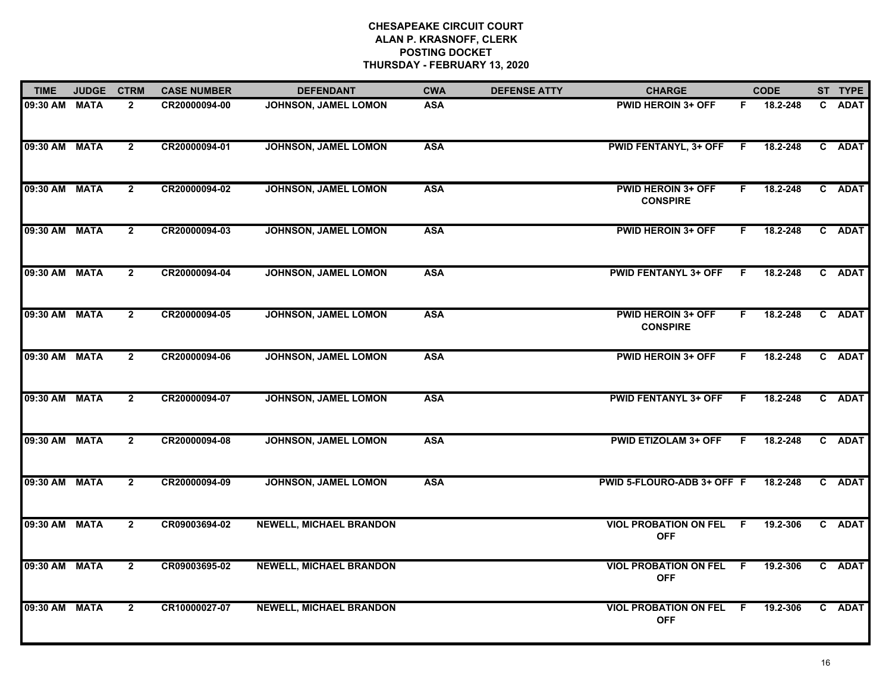| <b>TIME</b>   | <b>JUDGE</b> | <b>CTRM</b>    | <b>CASE NUMBER</b> | <b>DEFENDANT</b>               | <b>CWA</b> | <b>DEFENSE ATTY</b> | <b>CHARGE</b>                                |     | <b>CODE</b> | ST TYPE |
|---------------|--------------|----------------|--------------------|--------------------------------|------------|---------------------|----------------------------------------------|-----|-------------|---------|
| 09:30 AM MATA |              | $\overline{2}$ | CR20000094-00      | JOHNSON, JAMEL LOMON           | <b>ASA</b> |                     | <b>PWID HEROIN 3+ OFF</b>                    | F.  | 18.2-248    | C ADAT  |
| 09:30 AM MATA |              | $\mathbf{2}$   | CR20000094-01      | JOHNSON, JAMEL LOMON           | <b>ASA</b> |                     | <b>PWID FENTANYL, 3+ OFF</b>                 | - F | 18.2-248    | C ADAT  |
| 09:30 AM MATA |              | $\mathbf{2}$   | CR20000094-02      | <b>JOHNSON, JAMEL LOMON</b>    | <b>ASA</b> |                     | <b>PWID HEROIN 3+ OFF</b><br><b>CONSPIRE</b> | F.  | 18.2-248    | C ADAT  |
| 09:30 AM MATA |              | $\overline{2}$ | CR20000094-03      | JOHNSON, JAMEL LOMON           | <b>ASA</b> |                     | <b>PWID HEROIN 3+ OFF</b>                    | F.  | 18.2-248    | C ADAT  |
| 09:30 AM MATA |              | $\overline{2}$ | CR20000094-04      | JOHNSON, JAMEL LOMON           | <b>ASA</b> |                     | <b>PWID FENTANYL 3+ OFF</b>                  | F.  | 18.2-248    | C ADAT  |
| 09:30 AM MATA |              | $\overline{2}$ | CR20000094-05      | JOHNSON, JAMEL LOMON           | <b>ASA</b> |                     | <b>PWID HEROIN 3+ OFF</b><br><b>CONSPIRE</b> | F.  | 18.2-248    | C ADAT  |
| 09:30 AM MATA |              | $\mathbf{2}$   | CR20000094-06      | JOHNSON, JAMEL LOMON           | <b>ASA</b> |                     | <b>PWID HEROIN 3+ OFF</b>                    | F.  | 18.2-248    | C ADAT  |
| 09:30 AM MATA |              | $\overline{2}$ | CR20000094-07      | JOHNSON, JAMEL LOMON           | <b>ASA</b> |                     | <b>PWID FENTANYL 3+ OFF</b>                  | F.  | 18.2-248    | C ADAT  |
| 09:30 AM MATA |              | $\overline{2}$ | CR20000094-08      | JOHNSON, JAMEL LOMON           | <b>ASA</b> |                     | <b>PWID ETIZOLAM 3+ OFF</b>                  | F.  | 18.2-248    | C ADAT  |
| 09:30 AM MATA |              | $\overline{2}$ | CR20000094-09      | JOHNSON, JAMEL LOMON           | <b>ASA</b> |                     | PWID 5-FLOURO-ADB 3+ OFF F                   |     | 18.2-248    | C ADAT  |
| 09:30 AM MATA |              | $\mathbf{2}$   | CR09003694-02      | <b>NEWELL, MICHAEL BRANDON</b> |            |                     | <b>VIOL PROBATION ON FEL F</b><br><b>OFF</b> |     | 19.2-306    | C ADAT  |
| 09:30 AM      | <b>MATA</b>  | $\overline{2}$ | CR09003695-02      | <b>NEWELL, MICHAEL BRANDON</b> |            |                     | <b>VIOL PROBATION ON FEL</b><br><b>OFF</b>   | F.  | 19.2-306    | C ADAT  |
| 09:30 AM MATA |              | $\overline{2}$ | CR10000027-07      | <b>NEWELL, MICHAEL BRANDON</b> |            |                     | <b>VIOL PROBATION ON FEL</b><br><b>OFF</b>   | -F  | 19.2-306    | C ADAT  |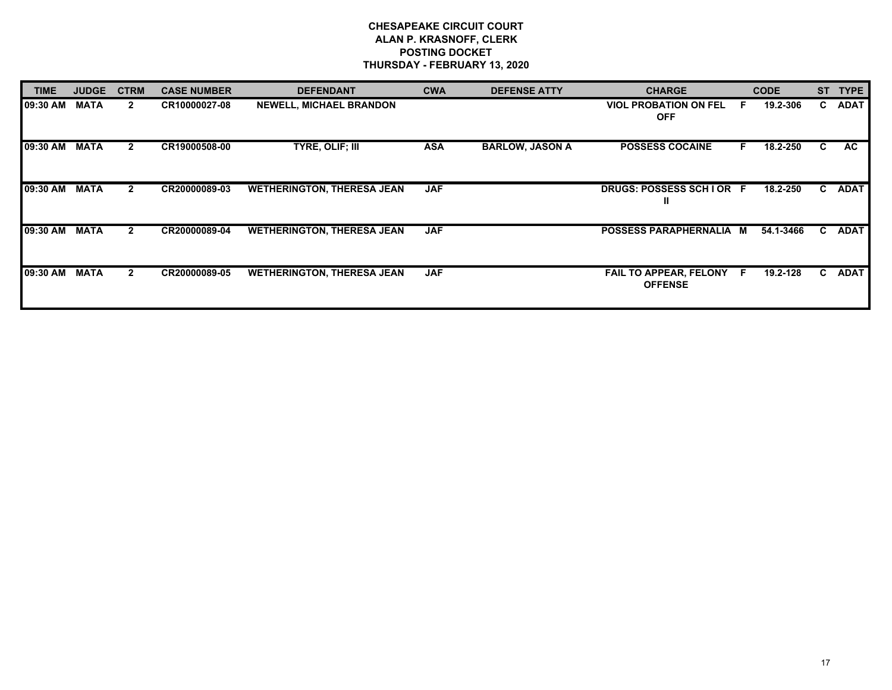| <b>TIME</b> | <b>JUDGE</b> | <b>CTRM</b>    | <b>CASE NUMBER</b> | <b>DEFENDANT</b>                  | <b>CWA</b> | <b>DEFENSE ATTY</b>    | <b>CHARGE</b>                              |    | <b>CODE</b> | <b>ST</b> | <b>TYPE</b> |
|-------------|--------------|----------------|--------------------|-----------------------------------|------------|------------------------|--------------------------------------------|----|-------------|-----------|-------------|
| 09:30 AM    | <b>MATA</b>  | $\mathbf{2}$   | CR10000027-08      | <b>NEWELL, MICHAEL BRANDON</b>    |            |                        | <b>VIOL PROBATION ON FEL</b><br><b>OFF</b> | F. | 19.2-306    | C.        | <b>ADAT</b> |
| 09:30 AM    | <b>MATA</b>  | $\mathbf{2}$   | CR19000508-00      | TYRE, OLIF; III                   | <b>ASA</b> | <b>BARLOW, JASON A</b> | <b>POSSESS COCAINE</b>                     | F. | 18.2-250    | C.        | AC.         |
| 09:30 AM    | <b>MATA</b>  | $\mathbf{2}$   | CR20000089-03      | <b>WETHERINGTON, THERESA JEAN</b> | <b>JAF</b> |                        | DRUGS: POSSESS SCHIOR F<br>ш               |    | 18.2-250    |           | C ADAT      |
| 09:30 AM    | <b>MATA</b>  | $\overline{2}$ | CR20000089-04      | <b>WETHERINGTON, THERESA JEAN</b> | <b>JAF</b> |                        | POSSESS PARAPHERNALIA M                    |    | 54.1-3466   | C.        | <b>ADAT</b> |
| 09:30 AM    | <b>MATA</b>  | $\mathbf{2}$   | CR20000089-05      | <b>WETHERINGTON, THERESA JEAN</b> | <b>JAF</b> |                        | FAIL TO APPEAR, FELONY F<br><b>OFFENSE</b> |    | 19.2-128    | C.        | <b>ADAT</b> |